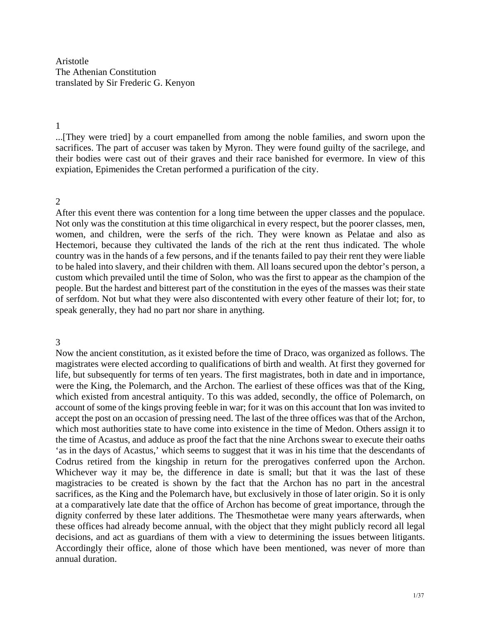Aristotle The Athenian Constitution translated by Sir Frederic G. Kenyon

#### 1

...[They were tried] by a court empanelled from among the noble families, and sworn upon the sacrifices. The part of accuser was taken by Myron. They were found guilty of the sacrilege, and their bodies were cast out of their graves and their race banished for evermore. In view of this expiation, Epimenides the Cretan performed a purification of the city.

#### $\mathcal{D}$

After this event there was contention for a long time between the upper classes and the populace. Not only was the constitution at this time oligarchical in every respect, but the poorer classes, men, women, and children, were the serfs of the rich. They were known as Pelatae and also as Hectemori, because they cultivated the lands of the rich at the rent thus indicated. The whole country was in the hands of a few persons, and if the tenants failed to pay their rent they were liable to be haled into slavery, and their children with them. All loans secured upon the debtor's person, a custom which prevailed until the time of Solon, who was the first to appear as the champion of the people. But the hardest and bitterest part of the constitution in the eyes of the masses was their state of serfdom. Not but what they were also discontented with every other feature of their lot; for, to speak generally, they had no part nor share in anything.

#### 3

Now the ancient constitution, as it existed before the time of Draco, was organized as follows. The magistrates were elected according to qualifications of birth and wealth. At first they governed for life, but subsequently for terms of ten years. The first magistrates, both in date and in importance, were the King, the Polemarch, and the Archon. The earliest of these offices was that of the King, which existed from ancestral antiquity. To this was added, secondly, the office of Polemarch, on account of some of the kings proving feeble in war; for it was on this account that Ion was invited to accept the post on an occasion of pressing need. The last of the three offices was that of the Archon, which most authorities state to have come into existence in the time of Medon. Others assign it to the time of Acastus, and adduce as proof the fact that the nine Archons swear to execute their oaths 'as in the days of Acastus,' which seems to suggest that it was in his time that the descendants of Codrus retired from the kingship in return for the prerogatives conferred upon the Archon. Whichever way it may be, the difference in date is small; but that it was the last of these magistracies to be created is shown by the fact that the Archon has no part in the ancestral sacrifices, as the King and the Polemarch have, but exclusively in those of later origin. So it is only at a comparatively late date that the office of Archon has become of great importance, through the dignity conferred by these later additions. The Thesmothetae were many years afterwards, when these offices had already become annual, with the object that they might publicly record all legal decisions, and act as guardians of them with a view to determining the issues between litigants. Accordingly their office, alone of those which have been mentioned, was never of more than annual duration.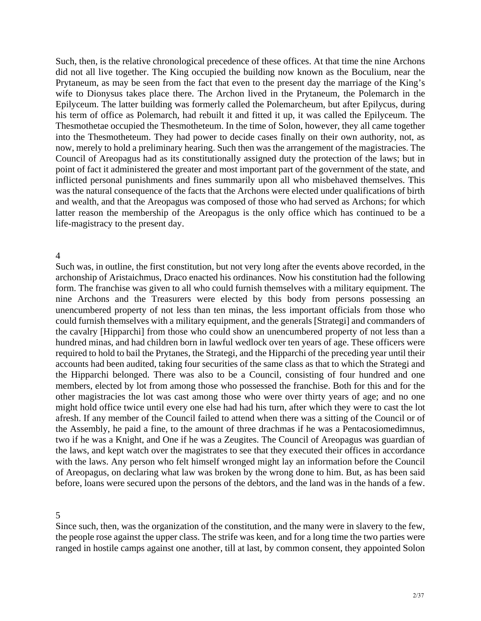Such, then, is the relative chronological precedence of these offices. At that time the nine Archons did not all live together. The King occupied the building now known as the Boculium, near the Prytaneum, as may be seen from the fact that even to the present day the marriage of the King's wife to Dionysus takes place there. The Archon lived in the Prytaneum, the Polemarch in the Epilyceum. The latter building was formerly called the Polemarcheum, but after Epilycus, during his term of office as Polemarch, had rebuilt it and fitted it up, it was called the Epilyceum. The Thesmothetae occupied the Thesmotheteum. In the time of Solon, however, they all came together into the Thesmotheteum. They had power to decide cases finally on their own authority, not, as now, merely to hold a preliminary hearing. Such then was the arrangement of the magistracies. The Council of Areopagus had as its constitutionally assigned duty the protection of the laws; but in point of fact it administered the greater and most important part of the government of the state, and inflicted personal punishments and fines summarily upon all who misbehaved themselves. This was the natural consequence of the facts that the Archons were elected under qualifications of birth and wealth, and that the Areopagus was composed of those who had served as Archons; for which latter reason the membership of the Areopagus is the only office which has continued to be a life-magistracy to the present day.

#### 4

Such was, in outline, the first constitution, but not very long after the events above recorded, in the archonship of Aristaichmus, Draco enacted his ordinances. Now his constitution had the following form. The franchise was given to all who could furnish themselves with a military equipment. The nine Archons and the Treasurers were elected by this body from persons possessing an unencumbered property of not less than ten minas, the less important officials from those who could furnish themselves with a military equipment, and the generals [Strategi] and commanders of the cavalry [Hipparchi] from those who could show an unencumbered property of not less than a hundred minas, and had children born in lawful wedlock over ten years of age. These officers were required to hold to bail the Prytanes, the Strategi, and the Hipparchi of the preceding year until their accounts had been audited, taking four securities of the same class as that to which the Strategi and the Hipparchi belonged. There was also to be a Council, consisting of four hundred and one members, elected by lot from among those who possessed the franchise. Both for this and for the other magistracies the lot was cast among those who were over thirty years of age; and no one might hold office twice until every one else had had his turn, after which they were to cast the lot afresh. If any member of the Council failed to attend when there was a sitting of the Council or of the Assembly, he paid a fine, to the amount of three drachmas if he was a Pentacosiomedimnus, two if he was a Knight, and One if he was a Zeugites. The Council of Areopagus was guardian of the laws, and kept watch over the magistrates to see that they executed their offices in accordance with the laws. Any person who felt himself wronged might lay an information before the Council of Areopagus, on declaring what law was broken by the wrong done to him. But, as has been said before, loans were secured upon the persons of the debtors, and the land was in the hands of a few.

5

Since such, then, was the organization of the constitution, and the many were in slavery to the few, the people rose against the upper class. The strife was keen, and for a long time the two parties were ranged in hostile camps against one another, till at last, by common consent, they appointed Solon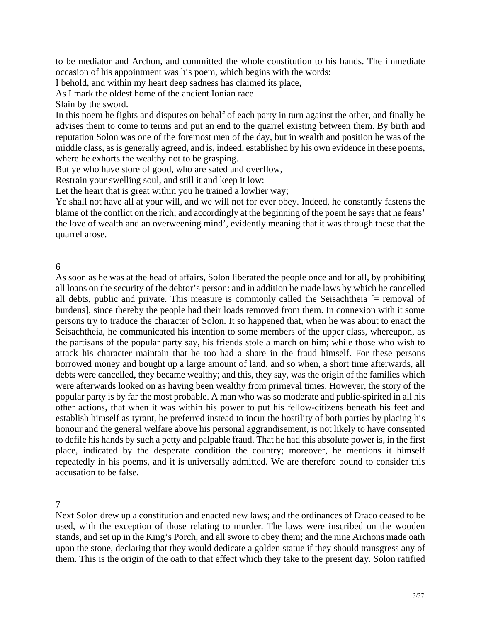to be mediator and Archon, and committed the whole constitution to his hands. The immediate occasion of his appointment was his poem, which begins with the words:

I behold, and within my heart deep sadness has claimed its place,

As I mark the oldest home of the ancient Ionian race

Slain by the sword.

In this poem he fights and disputes on behalf of each party in turn against the other, and finally he advises them to come to terms and put an end to the quarrel existing between them. By birth and reputation Solon was one of the foremost men of the day, but in wealth and position he was of the middle class, as is generally agreed, and is, indeed, established by his own evidence in these poems, where he exhorts the wealthy not to be grasping.

But ye who have store of good, who are sated and overflow,

Restrain your swelling soul, and still it and keep it low:

Let the heart that is great within you he trained a lowlier way;

Ye shall not have all at your will, and we will not for ever obey. Indeed, he constantly fastens the blame of the conflict on the rich; and accordingly at the beginning of the poem he says that he fears' the love of wealth and an overweening mind', evidently meaning that it was through these that the quarrel arose.

6

As soon as he was at the head of affairs, Solon liberated the people once and for all, by prohibiting all loans on the security of the debtor's person: and in addition he made laws by which he cancelled all debts, public and private. This measure is commonly called the Seisachtheia [= removal of burdens], since thereby the people had their loads removed from them. In connexion with it some persons try to traduce the character of Solon. It so happened that, when he was about to enact the Seisachtheia, he communicated his intention to some members of the upper class, whereupon, as the partisans of the popular party say, his friends stole a march on him; while those who wish to attack his character maintain that he too had a share in the fraud himself. For these persons borrowed money and bought up a large amount of land, and so when, a short time afterwards, all debts were cancelled, they became wealthy; and this, they say, was the origin of the families which were afterwards looked on as having been wealthy from primeval times. However, the story of the popular party is by far the most probable. A man who was so moderate and public-spirited in all his other actions, that when it was within his power to put his fellow-citizens beneath his feet and establish himself as tyrant, he preferred instead to incur the hostility of both parties by placing his honour and the general welfare above his personal aggrandisement, is not likely to have consented to defile his hands by such a petty and palpable fraud. That he had this absolute power is, in the first place, indicated by the desperate condition the country; moreover, he mentions it himself repeatedly in his poems, and it is universally admitted. We are therefore bound to consider this accusation to be false.

7

Next Solon drew up a constitution and enacted new laws; and the ordinances of Draco ceased to be used, with the exception of those relating to murder. The laws were inscribed on the wooden stands, and set up in the King's Porch, and all swore to obey them; and the nine Archons made oath upon the stone, declaring that they would dedicate a golden statue if they should transgress any of them. This is the origin of the oath to that effect which they take to the present day. Solon ratified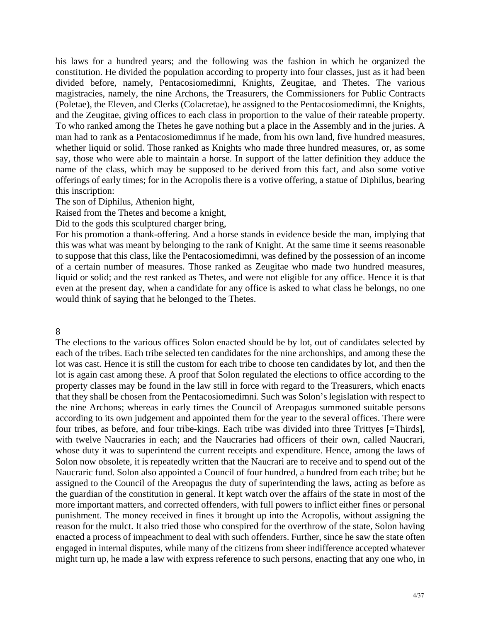his laws for a hundred years; and the following was the fashion in which he organized the constitution. He divided the population according to property into four classes, just as it had been divided before, namely, Pentacosiomedimni, Knights, Zeugitae, and Thetes. The various magistracies, namely, the nine Archons, the Treasurers, the Commissioners for Public Contracts (Poletae), the Eleven, and Clerks (Colacretae), he assigned to the Pentacosiomedimni, the Knights, and the Zeugitae, giving offices to each class in proportion to the value of their rateable property. To who ranked among the Thetes he gave nothing but a place in the Assembly and in the juries. A man had to rank as a Pentacosiomedimnus if he made, from his own land, five hundred measures, whether liquid or solid. Those ranked as Knights who made three hundred measures, or, as some say, those who were able to maintain a horse. In support of the latter definition they adduce the name of the class, which may be supposed to be derived from this fact, and also some votive offerings of early times; for in the Acropolis there is a votive offering, a statue of Diphilus, bearing this inscription:

The son of Diphilus, Athenion hight,

Raised from the Thetes and become a knight,

Did to the gods this sculptured charger bring,

For his promotion a thank-offering. And a horse stands in evidence beside the man, implying that this was what was meant by belonging to the rank of Knight. At the same time it seems reasonable to suppose that this class, like the Pentacosiomedimni, was defined by the possession of an income of a certain number of measures. Those ranked as Zeugitae who made two hundred measures, liquid or solid; and the rest ranked as Thetes, and were not eligible for any office. Hence it is that even at the present day, when a candidate for any office is asked to what class he belongs, no one would think of saying that he belonged to the Thetes.

## 8

The elections to the various offices Solon enacted should be by lot, out of candidates selected by each of the tribes. Each tribe selected ten candidates for the nine archonships, and among these the lot was cast. Hence it is still the custom for each tribe to choose ten candidates by lot, and then the lot is again cast among these. A proof that Solon regulated the elections to office according to the property classes may be found in the law still in force with regard to the Treasurers, which enacts that they shall be chosen from the Pentacosiomedimni. Such was Solon's legislation with respect to the nine Archons; whereas in early times the Council of Areopagus summoned suitable persons according to its own judgement and appointed them for the year to the several offices. There were four tribes, as before, and four tribe-kings. Each tribe was divided into three Trittyes [=Thirds], with twelve Naucraries in each; and the Naucraries had officers of their own, called Naucrari, whose duty it was to superintend the current receipts and expenditure. Hence, among the laws of Solon now obsolete, it is repeatedly written that the Naucrari are to receive and to spend out of the Naucraric fund. Solon also appointed a Council of four hundred, a hundred from each tribe; but he assigned to the Council of the Areopagus the duty of superintending the laws, acting as before as the guardian of the constitution in general. It kept watch over the affairs of the state in most of the more important matters, and corrected offenders, with full powers to inflict either fines or personal punishment. The money received in fines it brought up into the Acropolis, without assigning the reason for the mulct. It also tried those who conspired for the overthrow of the state, Solon having enacted a process of impeachment to deal with such offenders. Further, since he saw the state often engaged in internal disputes, while many of the citizens from sheer indifference accepted whatever might turn up, he made a law with express reference to such persons, enacting that any one who, in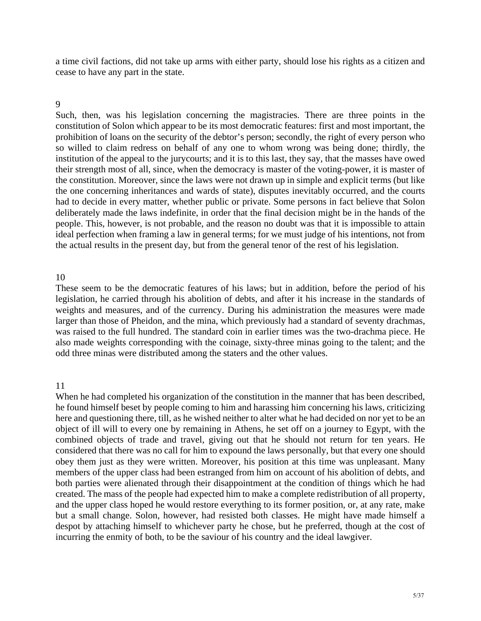a time civil factions, did not take up arms with either party, should lose his rights as a citizen and cease to have any part in the state.

### 9

Such, then, was his legislation concerning the magistracies. There are three points in the constitution of Solon which appear to be its most democratic features: first and most important, the prohibition of loans on the security of the debtor's person; secondly, the right of every person who so willed to claim redress on behalf of any one to whom wrong was being done; thirdly, the institution of the appeal to the jurycourts; and it is to this last, they say, that the masses have owed their strength most of all, since, when the democracy is master of the voting-power, it is master of the constitution. Moreover, since the laws were not drawn up in simple and explicit terms (but like the one concerning inheritances and wards of state), disputes inevitably occurred, and the courts had to decide in every matter, whether public or private. Some persons in fact believe that Solon deliberately made the laws indefinite, in order that the final decision might be in the hands of the people. This, however, is not probable, and the reason no doubt was that it is impossible to attain ideal perfection when framing a law in general terms; for we must judge of his intentions, not from the actual results in the present day, but from the general tenor of the rest of his legislation.

### 0 1

These seem to be the democratic features of his laws; but in addition, before the period of his legislation, he carried through his abolition of debts, and after it his increase in the standards of weights and measures, and of the currency. During his administration the measures were made larger than those of Pheidon, and the mina, which previously had a standard of seventy drachmas, was raised to the full hundred. The standard coin in earlier times was the two-drachma piece. He also made weights corresponding with the coinage, sixty-three minas going to the talent; and the odd three minas were distributed among the staters and the other values.

## 1 1

When he had completed his organization of the constitution in the manner that has been described, he found himself beset by people coming to him and harassing him concerning his laws, criticizing here and questioning there, till, as he wished neither to alter what he had decided on nor yet to be an object of ill will to every one by remaining in Athens, he set off on a journey to Egypt, with the combined objects of trade and travel, giving out that he should not return for ten years. He considered that there was no call for him to expound the laws personally, but that every one should obey them just as they were written. Moreover, his position at this time was unpleasant. Many members of the upper class had been estranged from him on account of his abolition of debts, and both parties were alienated through their disappointment at the condition of things which he had created. The mass of the people had expected him to make a complete redistribution of all property, and the upper class hoped he would restore everything to its former position, or, at any rate, make but a small change. Solon, however, had resisted both classes. He might have made himself a despot by attaching himself to whichever party he chose, but he preferred, though at the cost of incurring the enmity of both, to be the saviour of his country and the ideal lawgiver.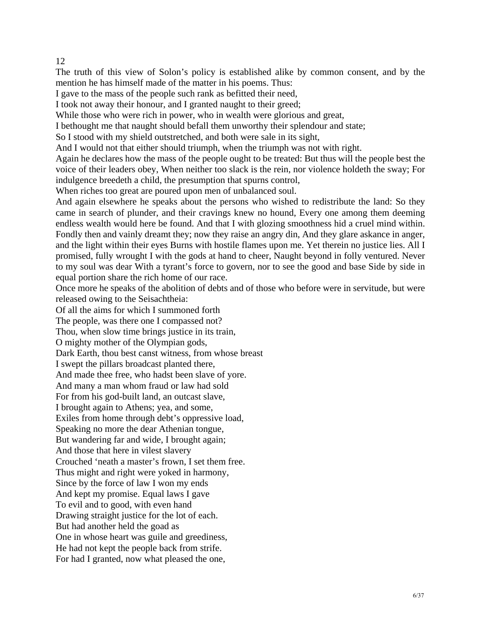# 12

The truth of this view of Solon's policy is established alike by common consent, and by the mention he has himself made of the matter in his poems. Thus:

I gave to the mass of the people such rank as befitted their need,

I took not away their honour, and I granted naught to their greed;

While those who were rich in power, who in wealth were glorious and great,

I bethought me that naught should befall them unworthy their splendour and state;

So I stood with my shield outstretched, and both were sale in its sight,

And I would not that either should triumph, when the triumph was not with right.

Again he declares how the mass of the people ought to be treated: But thus will the people best the voice of their leaders obey, When neither too slack is the rein, nor violence holdeth the sway; For indulgence breedeth a child, the presumption that spurns control,

When riches too great are poured upon men of unbalanced soul.

endless wealth would here be found. And that I with glozing smoothness hid a cruel mind within. Fondly then and vainly dreamt they; now they raise an angry din, And they glare askance in anger, And again elsewhere he speaks about the persons who wished to redistribute the land: So they came in search of plunder, and their cravings knew no hound, Every one among them deeming and the light within their eyes Burns with hostile flames upon me. Yet therein no justice lies. All I promised, fully wrought I with the gods at hand to cheer, Naught beyond in folly ventured. Never to my soul was dear With a tyrant's force to govern, nor to see the good and base Side by side in equal portion share the rich home of our race.

Once more he speaks of the abolition of debts and of those who before were in servitude, but were released owing to the Seisachtheia:

Dark Earth, thou best canst witness, from whose breast And made thee free, who hadst been slave of yore. And many a man whom fraud or law had sold And kept my promise. Equal laws I gave One in whose heart was guile and greediness, He had not kept the people back from strife. For had I granted, now what pleased the one, Of all the aims for which I summoned forth The people, was there one I compassed not? Thou, when slow time brings justice in its train, O mighty mother of the Olympian gods, I swept the pillars broadcast planted there, For from his god-built land, an outcast slave, I brought again to Athens; yea, and some, Exiles from home through debt's oppressive load, Speaking no more the dear Athenian tongue, But wandering far and wide, I brought again; And those that here in vilest slavery Crouched 'neath a master's frown, I set them free. Thus might and right were yoked in harmony, Since by the force of law I won my ends To evil and to good, with even hand Drawing straight justice for the lot of each. But had another held the goad as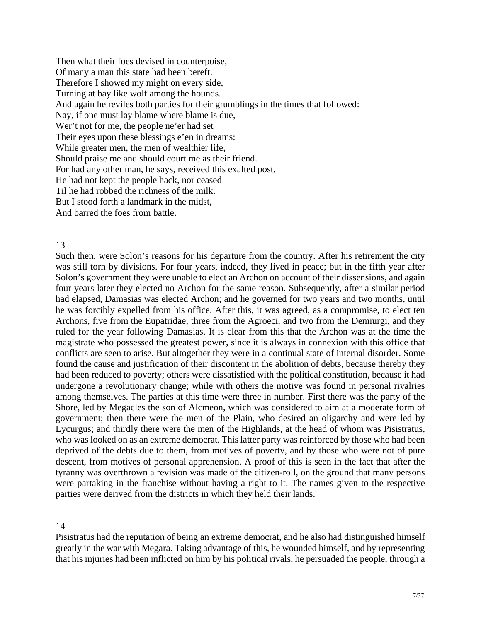Then what their foes devised in counterpoise, And again he reviles both parties for their grumblings in the times that followed: Nay, if one must lay blame where blame is due, Their eyes upon these blessings e'en in dreams: Should praise me and should court me as their friend. For had any other man, he says, received this exalted post, Of many a man this state had been bereft. Therefore I showed my might on every side, Turning at bay like wolf among the hounds. Wer't not for me, the people ne'er had set While greater men, the men of wealthier life, He had not kept the people hack, nor ceased Til he had robbed the richness of the milk. But I stood forth a landmark in the midst, And barred the foes from battle.

### 13

Such then, were Solon's reasons for his departure from the country. After his retirement the city was still torn by divisions. For four years, indeed, they lived in peace; but in the fifth year after Solon's government they were unable to elect an Archon on account of their dissensions, and again four years later they elected no Archon for the same reason. Subsequently, after a similar period had elapsed, Damasias was elected Archon; and he governed for two years and two months, until he was forcibly expelled from his office. After this, it was agreed, as a compromise, to elect ten Archons, five from the Eupatridae, three from the Agroeci, and two from the Demiurgi, and they ruled for the year following Damasias. It is clear from this that the Archon was at the time the magistrate who possessed the greatest power, since it is always in connexion with this office that conflicts are seen to arise. But altogether they were in a continual state of internal disorder. Some found the cause and justification of their discontent in the abolition of debts, because thereby they had been reduced to poverty; others were dissatisfied with the political constitution, because it had undergone a revolutionary change; while with others the motive was found in personal rivalries among themselves. The parties at this time were three in number. First there was the party of the Shore, led by Megacles the son of Alcmeon, which was considered to aim at a moderate form of government; then there were the men of the Plain, who desired an oligarchy and were led by Lycurgus; and thirdly there were the men of the Highlands, at the head of whom was Pisistratus, who was looked on as an extreme democrat. This latter party was reinforced by those who had been deprived of the debts due to them, from motives of poverty, and by those who were not of pure descent, from motives of personal apprehension. A proof of this is seen in the fact that after the tyranny was overthrown a revision was made of the citizen-roll, on the ground that many persons were partaking in the franchise without having a right to it. The names given to the respective parties were derived from the districts in which they held their lands.

## 14

greatly in the war with Megara. Taking advantage of this, he wounded himself, and by representing that his injuries had been inflicted on him by his political rivals, he persuaded the people, through a Pisistratus had the reputation of being an extreme democrat, and he also had distinguished himself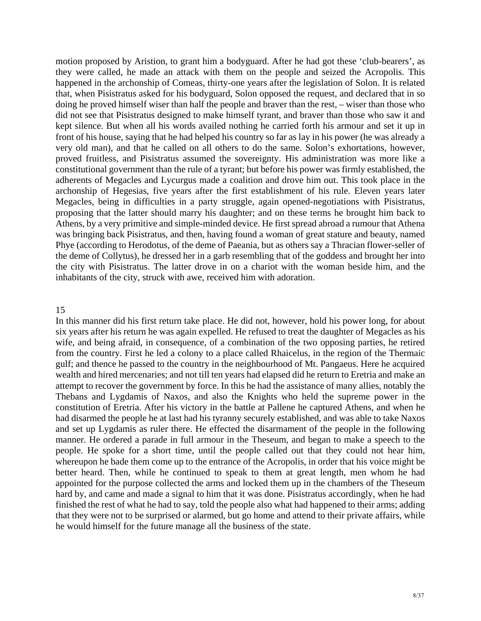motion proposed by Aristion, to grant him a bodyguard. After he had got these 'club-bearers', as they were called, he made an attack with them on the people and seized the Acropolis. This happened in the archonship of Comeas, thirty-one years after the legislation of Solon. It is related that, when Pisistratus asked for his bodyguard, Solon opposed the request, and declared that in so doing he proved himself wiser than half the people and braver than the rest, – wiser than those who did not see that Pisistratus designed to make himself tyrant, and braver than those who saw it and kept silence. But when all his words availed nothing he carried forth his armour and set it up in front of his house, saying that he had helped his country so far as lay in his power (he was already a very old man), and that he called on all others to do the same. Solon's exhortations, however, proved fruitless, and Pisistratus assumed the sovereignty. His administration was more like a constitutional government than the rule of a tyrant; but before his power was firmly established, the adherents of Megacles and Lycurgus made a coalition and drove him out. This took place in the archonship of Hegesias, five years after the first establishment of his rule. Eleven years later Megacles, being in difficulties in a party struggle, again opened-negotiations with Pisistratus, proposing that the latter should marry his daughter; and on these terms he brought him back to Athens, by a very primitive and simple-minded device. He first spread abroad a rumour that Athena was bringing back Pisistratus, and then, having found a woman of great stature and beauty, named Phye (according to Herodotus, of the deme of Paeania, but as others say a Thracian flower-seller of the deme of Collytus), he dressed her in a garb resembling that of the goddess and brought her into the city with Pisistratus. The latter drove in on a chariot with the woman beside him, and the inhabitants of the city, struck with awe, received him with adoration.

#### 15

wife, and being afraid, in consequence, of a combination of the two opposing parties, he retired from the country. First he led a colony to a place called Rhaicelus, in the region of the Thermaic gulf; and thence he passed to the country in the neighbourhood of Mt. Pangaeus. Here he acquired wealth and hired mercenaries; and not till ten years had elapsed did he return to Eretria and make an In this manner did his first return take place. He did not, however, hold his power long, for about six years after his return he was again expelled. He refused to treat the daughter of Megacles as his attempt to recover the government by force. In this he had the assistance of many allies, notably the Thebans and Lygdamis of Naxos, and also the Knights who held the supreme power in the constitution of Eretria. After his victory in the battle at Pallene he captured Athens, and when he had disarmed the people he at last had his tyranny securely established, and was able to take Naxos and set up Lygdamis as ruler there. He effected the disarmament of the people in the following manner. He ordered a parade in full armour in the Theseum, and began to make a speech to the people. He spoke for a short time, until the people called out that they could not hear him, whereupon he bade them come up to the entrance of the Acropolis, in order that his voice might be better heard. Then, while he continued to speak to them at great length, men whom he had appointed for the purpose collected the arms and locked them up in the chambers of the Theseum hard by, and came and made a signal to him that it was done. Pisistratus accordingly, when he had finished the rest of what he had to say, told the people also what had happened to their arms; adding that they were not to be surprised or alarmed, but go home and attend to their private affairs, while he would himself for the future manage all the business of the state.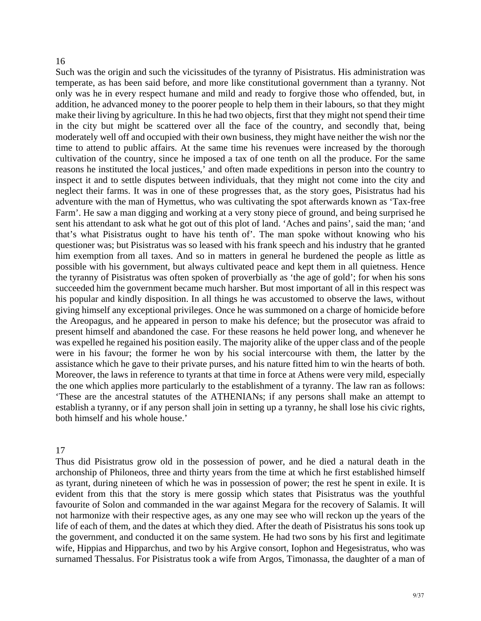#### 16

Such was the origin and such the vicissitudes of the tyranny of Pisistratus. His administration was temperate, as has been said before, and more like constitutional government than a tyranny. Not only was he in every respect humane and mild and ready to forgive those who offended, but, in addition, he advanced money to the poorer people to help them in their labours, so that they might make their living by agriculture. In this he had two objects, first that they might not spend their time in the city but might be scattered over all the face of the country, and secondly that, being moderately well off and occupied with their own business, they might have neither the wish nor the time to attend to public affairs. At the same time his revenues were increased by the thorough cultivation of the country, since he imposed a tax of one tenth on all the produce. For the same reasons he instituted the local justices,' and often made expeditions in person into the country to inspect it and to settle disputes between individuals, that they might not come into the city and neglect their farms. It was in one of these progresses that, as the story goes, Pisistratus had his adventure with the man of Hymettus, who was cultivating the spot afterwards known as 'Tax-free Farm'. He saw a man digging and working at a very stony piece of ground, and being surprised he sent his attendant to ask what he got out of this plot of land. 'Aches and pains', said the man; 'and that's what Pisistratus ought to have his tenth of'. The man spoke without knowing who his questioner was; but Pisistratus was so leased with his frank speech and his industry that he granted him exemption from all taxes. And so in matters in general he burdened the people as little as possible with his government, but always cultivated peace and kept them in all quietness. Hence the tyranny of Pisistratus was often spoken of proverbially as 'the age of gold'; for when his sons succeeded him the government became much harsher. But most important of all in this respect was his popular and kindly disposition. In all things he was accustomed to observe the laws, without giving himself any exceptional privileges. Once he was summoned on a charge of homicide before the Areopagus, and he appeared in person to make his defence; but the prosecutor was afraid to present himself and abandoned the case. For these reasons he held power long, and whenever he was expelled he regained his position easily. The majority alike of the upper class and of the people were in his favour; the former he won by his social intercourse with them, the latter by the assistance which he gave to their private purses, and his nature fitted him to win the hearts of both. Moreover, the laws in reference to tyrants at that time in force at Athens were very mild, especially the one which applies more particularly to the establishment of a tyranny. The law ran as follows: 'These are the ancestral statutes of the ATHENIANs; if any persons shall make an attempt to establish a tyranny, or if any person shall join in setting up a tyranny, he shall lose his civic rights, both himself and his whole house.'

### 17

as tyrant, during nineteen of which he was in possession of power; the rest he spent in exile. It is evident from this that the story is mere gossip which states that Pisistratus was the youthful favourite of Solon and commanded in the war against Megara for the recovery of Salamis. It will not harmonize with their respective ages, as any one may see who will reckon up the years of the Thus did Pisistratus grow old in the possession of power, and he died a natural death in the archonship of Philoneos, three and thirty years from the time at which he first established himself life of each of them, and the dates at which they died. After the death of Pisistratus his sons took up the government, and conducted it on the same system. He had two sons by his first and legitimate wife, Hippias and Hipparchus, and two by his Argive consort, Iophon and Hegesistratus, who was surnamed Thessalus. For Pisistratus took a wife from Argos, Timonassa, the daughter of a man of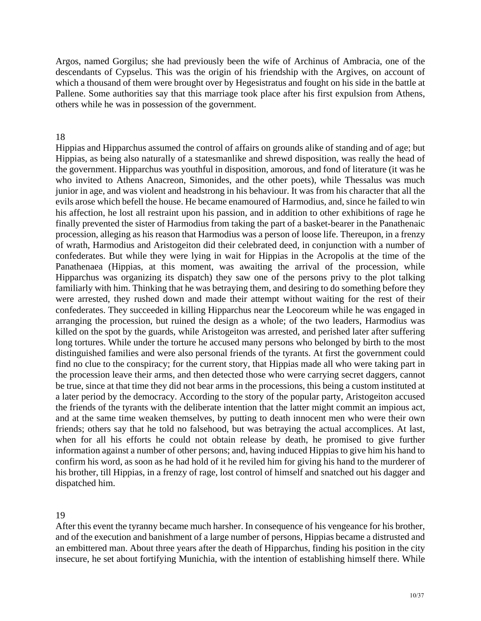Argos, named Gorgilus; she had previously been the wife of Archinus of Ambracia, one of the descendants of Cypselus. This was the origin of his friendship with the Argives, on account of which a thousand of them were brought over by Hegesistratus and fought on his side in the battle at Pallene. Some authorities say that this marriage took place after his first expulsion from Athens, others while he was in possession of the government.

### 18

Hippias and Hipparchus assumed the control of affairs on grounds alike of standing and of age; but Hippias, as being also naturally of a statesmanlike and shrewd disposition, was really the head of the government. Hipparchus was youthful in disposition, amorous, and fond of literature (it was he who invited to Athens Anacreon, Simonides, and the other poets), while Thessalus was much junior in age, and was violent and headstrong in his behaviour. It was from his character that all the evils arose which befell the house. He became enamoured of Harmodius, and, since he failed to win his affection, he lost all restraint upon his passion, and in addition to other exhibitions of rage he finally prevented the sister of Harmodius from taking the part of a basket-bearer in the Panathenaic procession, alleging as his reason that Harmodius was a person of loose life. Thereupon, in a frenzy of wrath, Harmodius and Aristogeiton did their celebrated deed, in conjunction with a number of confederates. But while they were lying in wait for Hippias in the Acropolis at the time of the Panathenaea (Hippias, at this moment, was awaiting the arrival of the procession, while Hipparchus was organizing its dispatch) they saw one of the persons privy to the plot talking familiarly with him. Thinking that he was betraying them, and desiring to do something before they were arrested, they rushed down and made their attempt without waiting for the rest of their confederates. They succeeded in killing Hipparchus near the Leocoreum while he was engaged in arranging the procession, but ruined the design as a whole; of the two leaders, Harmodius was killed on the spot by the guards, while Aristogeiton was arrested, and perished later after suffering long tortures. While under the torture he accused many persons who belonged by birth to the most distinguished families and were also personal friends of the tyrants. At first the government could find no clue to the conspiracy; for the current story, that Hippias made all who were taking part in the procession leave their arms, and then detected those who were carrying secret daggers, cannot be true, since at that time they did not bear arms in the processions, this being a custom instituted at a later period by the democracy. According to the story of the popular party, Aristogeiton accused the friends of the tyrants with the deliberate intention that the latter might commit an impious act, and at the same time weaken themselves, by putting to death innocent men who were their own friends; others say that he told no falsehood, but was betraying the actual accomplices. At last, when for all his efforts he could not obtain release by death, he promised to give further information against a number of other persons; and, having induced Hippias to give him his hand to confirm his word, as soon as he had hold of it he reviled him for giving his hand to the murderer of his brother, till Hippias, in a frenzy of rage, lost control of himself and snatched out his dagger and dispatched him.

19

an embittered man. About three years after the death of Hipparchus, finding his position in the city insecure, he set about fortifying Munichia, with the intention of establishing himself there. While After this event the tyranny became much harsher. In consequence of his vengeance for his brother, and of the execution and banishment of a large number of persons, Hippias became a distrusted and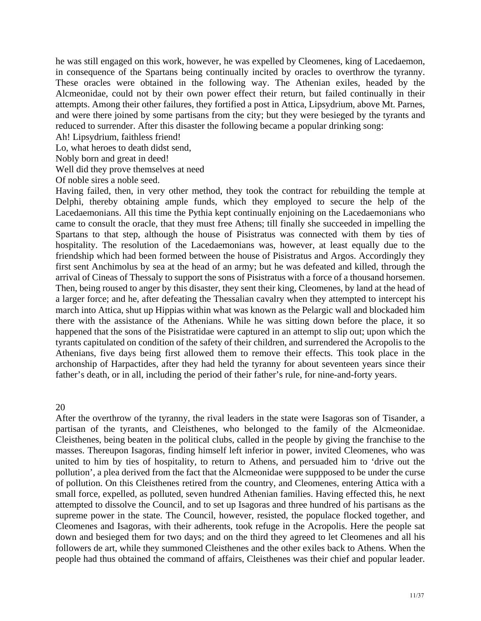he was still engaged on this work, however, he was expelled by Cleomenes, king of Lacedaemon, in consequence of the Spartans being continually incited by oracles to overthrow the tyranny. These oracles were obtained in the following way. The Athenian exiles, headed by the Alcmeonidae, could not by their own power effect their return, but failed continually in their attempts. Among their other failures, they fortified a post in Attica, Lipsydrium, above Mt. Parnes, and were there joined by some partisans from the city; but they were besieged by the tyrants and reduced to surrender. After this disaster the following became a popular drinking song:

Ah! Lipsydrium, faithless friend!

Lo, what heroes to death didst send,

Nobly born and great in deed!

Well did they prove themselves at need

Of noble sires a noble seed.

Delphi, thereby obtaining ample funds, which they employed to secure the help of the Lacedaemonians. All this time the Pythia kept continually enjoining on the Lacedaemonians who came to consult the oracle, that they must free Athens; till finally she succeeded in impelling the Spartans to that step, although the house of Pisistratus was connected with them by ties of hospitality. The resolution of the Lacedaemonians was, however, at least equally due to the friendship which had been formed between the house of Pisistratus and Argos. Accordingly they Having failed, then, in very other method, they took the contract for rebuilding the temple at first sent Anchimolus by sea at the head of an army; but he was defeated and killed, through the arrival of Cineas of Thessaly to support the sons of Pisistratus with a force of a thousand horsemen. Then, being roused to anger by this disaster, they sent their king, Cleomenes, by land at the head of a larger force; and he, after defeating the Thessalian cavalry when they attempted to intercept his march into Attica, shut up Hippias within what was known as the Pelargic wall and blockaded him there with the assistance of the Athenians. While he was sitting down before the place, it so happened that the sons of the Pisistratidae were captured in an attempt to slip out; upon which the tyrants capitulated on condition of the safety of their children, and surrendered the Acropolis to the Athenians, five days being first allowed them to remove their effects. This took place in the archonship of Harpactides, after they had held the tyranny for about seventeen years since their father's death, or in all, including the period of their father's rule, for nine-and-forty years.

20

united to him by ties of hospitality, to return to Athens, and persuaded him to 'drive out the pollution', a plea derived from the fact that the Alcmeonidae were suppposed to be under the curse of pollution. On this Cleisthenes retired from the country, and Cleomenes, entering Attica with a small force, expelled, as polluted, seven hundred Athenian families. Having effected this, he next After the overthrow of the tyranny, the rival leaders in the state were Isagoras son of Tisander, a partisan of the tyrants, and Cleisthenes, who belonged to the family of the Alcmeonidae. Cleisthenes, being beaten in the political clubs, called in the people by giving the franchise to the masses. Thereupon Isagoras, finding himself left inferior in power, invited Cleomenes, who was attempted to dissolve the Council, and to set up Isagoras and three hundred of his partisans as the supreme power in the state. The Council, however, resisted, the populace flocked together, and Cleomenes and Isagoras, with their adherents, took refuge in the Acropolis. Here the people sat down and besieged them for two days; and on the third they agreed to let Cleomenes and all his followers de art, while they summoned Cleisthenes and the other exiles back to Athens. When the people had thus obtained the command of affairs, Cleisthenes was their chief and popular leader.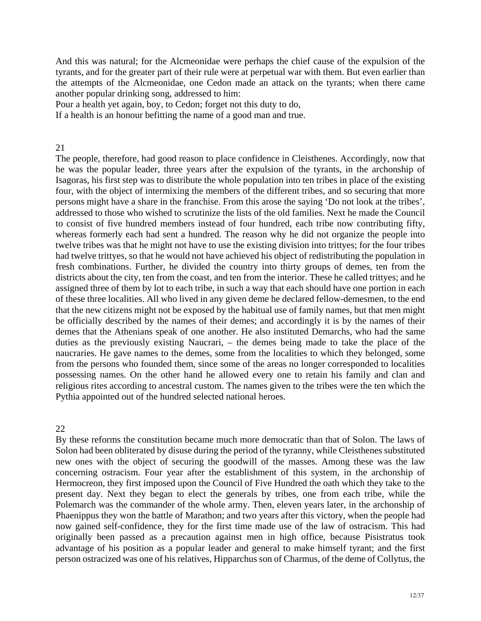And this was natural; for the Alcmeonidae were perhaps the chief cause of the expulsion of the tyrants, and for the greater part of their rule were at perpetual war with them. But even earlier than the attempts of the Alcmeonidae, one Cedon made an attack on the tyrants; when there came another popular drinking song, addressed to him:

Pour a health yet again, boy, to Cedon; forget not this duty to do,

If a health is an honour befitting the name of a good man and true.

### 21

The people, therefore, had good reason to place confidence in Cleisthenes. Accordingly, now that he was the popular leader, three years after the expulsion of the tyrants, in the archonship of Isagoras, his first step was to distribute the whole population into ten tribes in place of the existing four, with the object of intermixing the members of the different tribes, and so securing that more persons might have a share in the franchise. From this arose the saying 'Do not look at the tribes', ddressed to those who wished to scrutinize the lists of the old families. Next he made the Council a to consist of five hundred members instead of four hundred, each tribe now contributing fifty, whereas formerly each had sent a hundred. The reason why he did not organize the people into twelve tribes was that he might not have to use the existing division into trittyes; for the four tribes had twelve trittyes, so that he would not have achieved his object of redistributing the population in fresh combinations. Further, he divided the country into thirty groups of demes, ten from the districts about the city, ten from the coast, and ten from the interior. These he called trittyes; and he assigned three of them by lot to each tribe, in such a way that each should have one portion in each of these three localities. All who lived in any given deme he declared fellow-demesmen, to the end that the new citizens might not be exposed by the habitual use of family names, but that men might be officially described by the names of their demes; and accordingly it is by the names of their demes that the Athenians speak of one another. He also instituted Demarchs, who had the same duties as the previously existing Naucrari, – the demes being made to take the place of the naucraries. He gave names to the demes, some from the localities to which they belonged, some from the persons who founded them, since some of the areas no longer corresponded to localities possessing names. On the other hand he allowed every one to retain his family and clan and religious rites according to ancestral custom. The names given to the tribes were the ten which the Pythia appointed out of the hundred selected national heroes.

## 22

present day. Next they began to elect the generals by tribes, one from each tribe, while the Polemarch was the commander of the whole army. Then, eleven years later, in the archonship of Phaenippus they won the battle of Marathon; and two years after this victory, when the people had now gained self-confidence, they for the first time made use of the law of ostracism. This had By these reforms the constitution became much more democratic than that of Solon. The laws of Solon had been obliterated by disuse during the period of the tyranny, while Cleisthenes substituted new ones with the object of securing the goodwill of the masses. Among these was the law concerning ostracism. Four year after the establishment of this system, in the archonship of Hermocreon, they first imposed upon the Council of Five Hundred the oath which they take to the originally been passed as a precaution against men in high office, because Pisistratus took advantage of his position as a popular leader and general to make himself tyrant; and the first person ostracized was one of his relatives, Hipparchus son of Charmus, of the deme of Collytus, the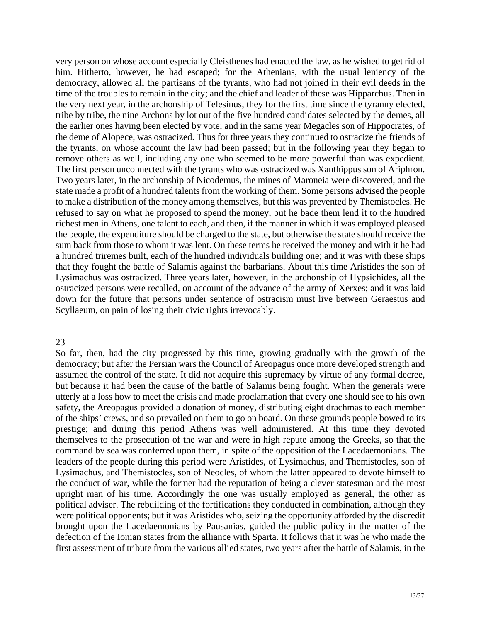very person on whose account especially Cleisthenes had enacted the law, as he wished to get rid of him. Hitherto, however, he had escaped; for the Athenians, with the usual leniency of the democracy, allowed all the partisans of the tyrants, who had not joined in their evil deeds in the time of the troubles to remain in the city; and the chief and leader of these was Hipparchus. Then in the very next year, in the archonship of Telesinus, they for the first time since the tyranny elected, tribe by tribe, the nine Archons by lot out of the five hundred candidates selected by the demes, all the earlier ones having been elected by vote; and in the same year Megacles son of Hippocrates, of the deme of Alopece, was ostracized. Thus for three years they continued to ostracize the friends of the tyrants, on whose account the law had been passed; but in the following year they began to remove others as well, including any one who seemed to be more powerful than was expedient. The first person unconnected with the tyrants who was ostracized was Xanthippus son of Ariphron. Two years later, in the archonship of Nicodemus, the mines of Maroneia were discovered, and the state made a profit of a hundred talents from the working of them. Some persons advised the people to make a distribution of the money among themselves, but this was prevented by Themistocles. He refused to say on what he proposed to spend the money, but he bade them lend it to the hundred richest men in Athens, one talent to each, and then, if the manner in which it was employed pleased the people, the expenditure should be charged to the state, but otherwise the state should receive the sum back from those to whom it was lent. On these terms he received the money and with it he had a hundred triremes built, each of the hundred individuals building one; and it was with these ships that they fought the battle of Salamis against the barbarians. About this time Aristides the son of Lysimachus was ostracized. Three years later, however, in the archonship of Hypsichides, all the ostracized persons were recalled, on account of the advance of the army of Xerxes; and it was laid down for the future that persons under sentence of ostracism must live between Geraestus and Scyllaeum, on pain of losing their civic rights irrevocably.

### 23

So far, then, had the city progressed by this time, growing gradually with the growth of the democracy; but after the Persian wars the Council of Areopagus once more developed strength and assumed the control of the state. It did not acquire this supremacy by virtue of any formal decree, but because it had been the cause of the battle of Salamis being fought. When the generals were utterly at a loss how to meet the crisis and made proclamation that every one should see to his own safety, the Areopagus provided a donation of money, distributing eight drachmas to each member of the ships' crews, and so prevailed on them to go on board. On these grounds people bowed to its prestige; and during this period Athens was well administered. At this time they devoted themselves to the prosecution of the war and were in high repute among the Greeks, so that the command by sea was conferred upon them, in spite of the opposition of the Lacedaemonians. The leaders of the people during this period were Aristides, of Lysimachus, and Themistocles, son of Lysimachus, and Themistocles, son of Neocles, of whom the latter appeared to devote himself to the conduct of war, while the former had the reputation of being a clever statesman and the most upright man of his time. Accordingly the one was usually employed as general, the other as political adviser. The rebuilding of the fortifications they conducted in combination, although they were political opponents; but it was Aristides who, seizing the opportunity afforded by the discredit brought upon the Lacedaemonians by Pausanias, guided the public policy in the matter of the defection of the Ionian states from the alliance with Sparta. It follows that it was he who made the first assessment of tribute from the various allied states, two years after the battle of Salamis, in the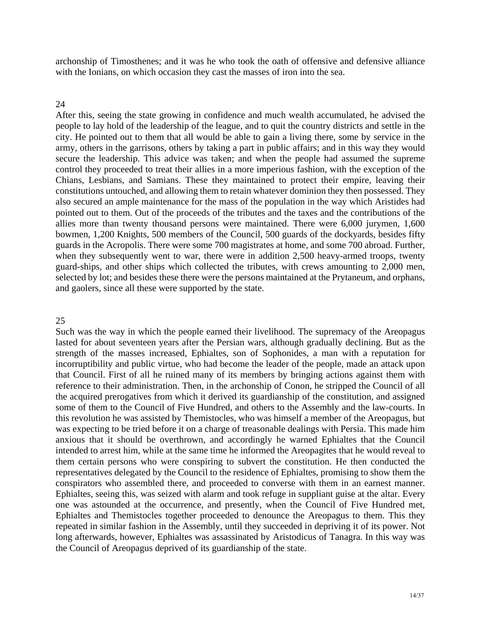archonship of Timosthenes; and it was he who took the oath of offensive and defensive alliance with the Ionians, on which occasion they cast the masses of iron into the sea.

### 24

After this, seeing the state growing in confidence and much wealth accumulated, he advised the people to lay hold of the leadership of the league, and to quit the country districts and settle in the city. He pointed out to them that all would be able to gain a living there, some by service in the army, others in the garrisons, others by taking a part in public affairs; and in this way they would secure the leadership. This advice was taken; and when the people had assumed the supreme control they proceeded to treat their allies in a more imperious fashion, with the exception of the Chians, Lesbians, and Samians. These they maintained to protect their empire, leaving their onstitutions untouched, and allowing them to retain whatever dominion they then possessed. They c also secured an ample maintenance for the mass of the population in the way which Aristides had pointed out to them. Out of the proceeds of the tributes and the taxes and the contributions of the allies more than twenty thousand persons were maintained. There were 6,000 jurymen, 1,600 bowmen, 1,200 Knights, 500 members of the Council, 500 guards of the dockyards, besides fifty guards in the Acropolis. There were some 700 magistrates at home, and some 700 abroad. Further, when they subsequently went to war, there were in addition 2,500 heavy-armed troops, twenty guard-ships, and other ships which collected the tributes, with crews amounting to 2,000 men, selected by lot; and besides these there were the persons maintained at the Prytaneum, and orphans, and gaolers, since all these were supported by the state.

### 25

the acquired prerogatives from which it derived its guardianship of the constitution, and assigned some of them to the Council of Five Hundred, and others to the Assembly and the law-courts. In this revolution he was assisted by Themistocles, who was himself a member of the Areopagus, but was expecting to be tried before it on a charge of treasonable dealings with Persia. This made him Such was the way in which the people earned their livelihood. The supremacy of the Areopagus lasted for about seventeen years after the Persian wars, although gradually declining. But as the strength of the masses increased, Ephialtes, son of Sophonides, a man with a reputation for incorruptibility and public virtue, who had become the leader of the people, made an attack upon that Council. First of all he ruined many of its members by bringing actions against them with reference to their administration. Then, in the archonship of Conon, he stripped the Council of all anxious that it should be overthrown, and accordingly he warned Ephialtes that the Council intended to arrest him, while at the same time he informed the Areopagites that he would reveal to them certain persons who were conspiring to subvert the constitution. He then conducted the representatives delegated by the Council to the residence of Ephialtes, promising to show them the conspirators who assembled there, and proceeded to converse with them in an earnest manner. Ephialtes, seeing this, was seized with alarm and took refuge in suppliant guise at the altar. Every one was astounded at the occurrence, and presently, when the Council of Five Hundred met, Ephialtes and Themistocles together proceeded to denounce the Areopagus to them. This they repeated in similar fashion in the Assembly, until they succeeded in depriving it of its power. Not long afterwards, however, Ephialtes was assassinated by Aristodicus of Tanagra. In this way was the Council of Areopagus deprived of its guardianship of the state.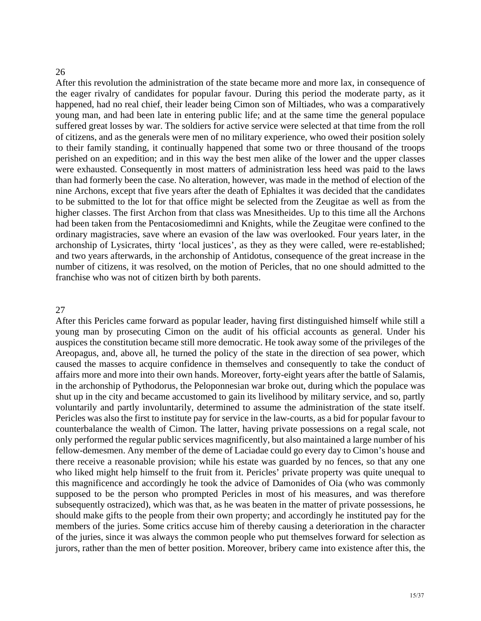#### 26

After this revolution the administration of the state became more and more lax, in consequence of the eager rivalry of candidates for popular favour. During this period the moderate party, as it happened, had no real chief, their leader being Cimon son of Miltiades, who was a comparatively young man, and had been late in entering public life; and at the same time the general populace suffered great losses by war. The soldiers for active service were selected at that time from the roll of citizens, and as the generals were men of no military experience, who owed their position solely to their family standing, it continually happened that some two or three thousand of the troops perished on an expedition; and in this way the best men alike of the lower and the upper classes were exhausted. Consequently in most matters of administration less heed was paid to the laws had formerly been the case. No alteration, however, was made in the method of election of the than nine Archons, except that five years after the death of Ephialtes it was decided that the candidates to be submitted to the lot for that office might be selected from the Zeugitae as well as from the higher classes. The first Archon from that class was Mnesitheides. Up to this time all the Archons had been taken from the Pentacosiomedimni and Knights, while the Zeugitae were confined to the ordinary magistracies, save where an evasion of the law was overlooked. Four years later, in the archonship of Lysicrates, thirty 'local justices', as they as they were called, were re-established; and two years afterwards, in the archonship of Antidotus, consequence of the great increase in the number of citizens, it was resolved, on the motion of Pericles, that no one should admitted to the franchise who was not of citizen birth by both parents.

#### 27

shut up in the city and became accustomed to gain its livelihood by military service, and so, partly voluntarily and partly involuntarily, determined to assume the administration of the state itself. Pericles was also the first to institute pay for service in the law-courts, as a bid for popular favour to counterbalance the wealth of Cimon. The latter, having private possessions on a regal scale, not After this Pericles came forward as popular leader, having first distinguished himself while still a young man by prosecuting Cimon on the audit of his official accounts as general. Under his auspices the constitution became still more democratic. He took away some of the privileges of the Areopagus, and, above all, he turned the policy of the state in the direction of sea power, which caused the masses to acquire confidence in themselves and consequently to take the conduct of affairs more and more into their own hands. Moreover, forty-eight years after the battle of Salamis, in the archonship of Pythodorus, the Peloponnesian war broke out, during which the populace was only performed the regular public services magnificently, but also maintained a large number of his fellow-demesmen. Any member of the deme of Laciadae could go every day to Cimon's house and there receive a reasonable provision; while his estate was guarded by no fences, so that any one who liked might help himself to the fruit from it. Pericles' private property was quite unequal to this magnificence and accordingly he took the advice of Damonides of Oia (who was commonly supposed to be the person who prompted Pericles in most of his measures, and was therefore subsequently ostracized), which was that, as he was beaten in the matter of private possessions, he should make gifts to the people from their own property; and accordingly he instituted pay for the members of the juries. Some critics accuse him of thereby causing a deterioration in the character of the juries, since it was always the common people who put themselves forward for selection as jurors, rather than the men of better position. Moreover, bribery came into existence after this, the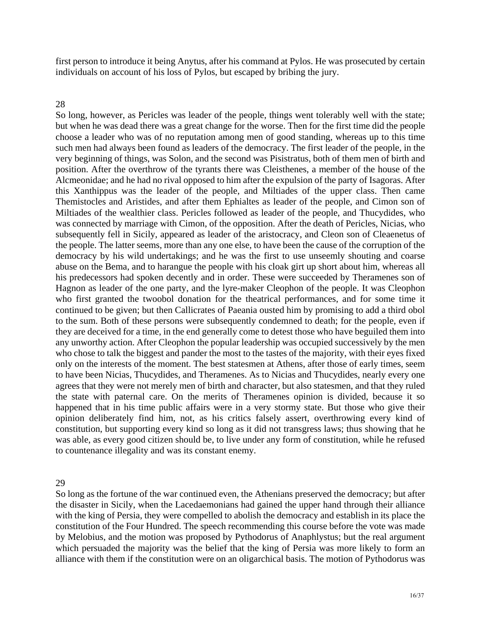first person to introduce it being Anytus, after his command at Pylos. He was prosecuted by certain individuals on account of his loss of Pylos, but escaped by bribing the jury.

### 28

So long, however, as Pericles was leader of the people, things went tolerably well with the state; but when he was dead there was a great change for the worse. Then for the first time did the people choose a leader who was of no reputation among men of good standing, whereas up to this time such men had always been found as leaders of the democracy. The first leader of the people, in the very beginning of things, was Solon, and the second was Pisistratus, both of them men of birth and position. After the overthrow of the tyrants there was Cleisthenes, a member of the house of the Alcmeonidae; and he had no rival opposed to him after the expulsion of the party of Isagoras. After this Xanthippus was the leader of the people, and Miltiades of the upper class. Then came Themistocles and Aristides, and after them Ephialtes as leader of the people, and Cimon son of Miltiades of the wealthier class. Pericles followed as leader of the people, and Thucydides, who was connected by marriage with Cimon, of the opposition. After the death of Pericles, Nicias, who subsequently fell in Sicily, appeared as leader of the aristocracy, and Cleon son of Cleaenetus of the people. The latter seems, more than any one else, to have been the cause of the corruption of the democracy by his wild undertakings; and he was the first to use unseemly shouting and coarse abuse on the Bema, and to harangue the people with his cloak girt up short about him, whereas all his predecessors had spoken decently and in order. These were succeeded by Theramenes son of Hagnon as leader of the one party, and the lyre-maker Cleophon of the people. It was Cleophon who first granted the twoobol donation for the theatrical performances, and for some time it continued to be given; but then Callicrates of Paeania ousted him by promising to add a third obol to the sum. Both of these persons were subsequently condemned to death; for the people, even if they are deceived for a time, in the end generally come to detest those who have beguiled them into any unworthy action. After Cleophon the popular leadership was occupied successively by the men who chose to talk the biggest and pander the most to the tastes of the majority, with their eyes fixed only on the interests of the moment. The best statesmen at Athens, after those of early times, seem to have been Nicias, Thucydides, and Theramenes. As to Nicias and Thucydides, nearly every one agrees that they were not merely men of birth and character, but also statesmen, and that they ruled the state with paternal care. On the merits of Theramenes opinion is divided, because it so happened that in his time public affairs were in a very stormy state. But those who give their opinion deliberately find him, not, as his critics falsely assert, overthrowing every kind of constitution, but supporting every kind so long as it did not transgress laws; thus showing that he was able, as every good citizen should be, to live under any form of constitution, while he refused to countenance illegality and was its constant enemy.

29

So long as the fortune of the war continued even, the Athenians preserved the democracy; but after the disaster in Sicily, when the Lacedaemonians had gained the upper hand through their alliance with the king of Persia, they were compelled to abolish the democracy and establish in its place the constitution of the Four Hundred. The speech recommending this course before the vote was made by Melobius, and the motion was proposed by Pythodorus of Anaphlystus; but the real argument which persuaded the majority was the belief that the king of Persia was more likely to form an alliance with them if the constitution were on an oligarchical basis. The motion of Pythodorus was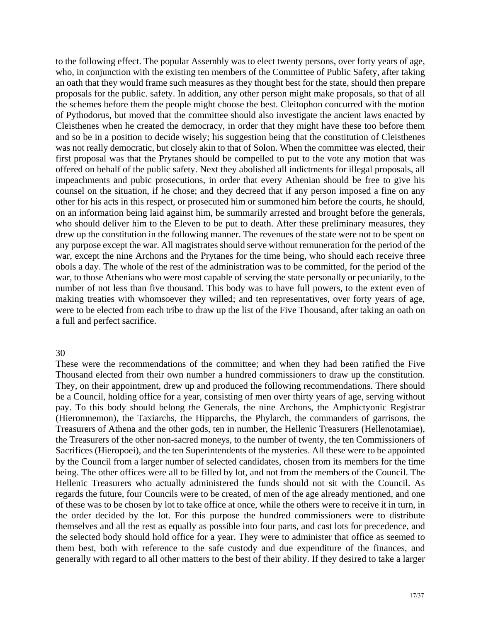to the following effect. The popular Assembly was to elect twenty persons, over forty years of age, who, in conjunction with the existing ten members of the Committee of Public Safety, after taking n oath that they would frame such measures as they thought best for the state, should then prepare a proposals for the public. safety. In addition, any other person might make proposals, so that of all the schemes before them the people might choose the best. Cleitophon concurred with the motion of Pythodorus, but moved that the committee should also investigate the ancient laws enacted by Cleisthenes when he created the democracy, in order that they might have these too before them and so be in a position to decide wisely; his suggestion being that the constitution of Cleisthenes was not really democratic, but closely akin to that of Solon. When the committee was elected, their first proposal was that the Prytanes should be compelled to put to the vote any motion that was offered on behalf of the public safety. Next they abolished all indictments for illegal proposals, all impeachments and pubic prosecutions, in order that every Athenian should be free to give his counsel on the situation, if he chose; and they decreed that if any person imposed a fine on any other for his acts in this respect, or prosecuted him or summoned him before the courts, he should, on an information being laid against him, be summarily arrested and brought before the generals, who should deliver him to the Eleven to be put to death. After these preliminary measures, they drew up the constitution in the following manner. The revenues of the state were not to be spent on any purpose except the war. All magistrates should serve without remuneration for the period of the war, except the nine Archons and the Prytanes for the time being, who should each receive three obols a day. The whole of the rest of the administration was to be committed, for the period of the war, to those Athenians who were most capable of serving the state personally or pecuniarily, to the number of not less than five thousand. This body was to have full powers, to the extent even of making treaties with whomsoever they willed; and ten representatives, over forty years of age, were to be elected from each tribe to draw up the list of the Five Thousand, after taking an oath on a full and perfect sacrifice.

### 30

by the Council from a larger number of selected candidates, chosen from its members for the time being. The other offices were all to be filled by lot, and not from the members of the Council. The Hellenic Treasurers who actually administered the funds should not sit with the Council. As regards the future, four Councils were to be created, of men of the age already mentioned, and one These were the recommendations of the committee; and when they had been ratified the Five Thousand elected from their own number a hundred commissioners to draw up the constitution. They, on their appointment, drew up and produced the following recommendations. There should be a Council, holding office for a year, consisting of men over thirty years of age, serving without pay. To this body should belong the Generals, the nine Archons, the Amphictyonic Registrar (Hieromnemon), the Taxiarchs, the Hipparchs, the Phylarch, the commanders of garrisons, the Treasurers of Athena and the other gods, ten in number, the Hellenic Treasurers (Hellenotamiae), the Treasurers of the other non-sacred moneys, to the number of twenty, the ten Commissioners of Sacrifices (Hieropoei), and the ten Superintendents of the mysteries. All these were to be appointed of these was to be chosen by lot to take office at once, while the others were to receive it in turn, in the order decided by the lot. For this purpose the hundred commissioners were to distribute themselves and all the rest as equally as possible into four parts, and cast lots for precedence, and the selected body should hold office for a year. They were to administer that office as seemed to them best, both with reference to the safe custody and due expenditure of the finances, and generally with regard to all other matters to the best of their ability. If they desired to take a larger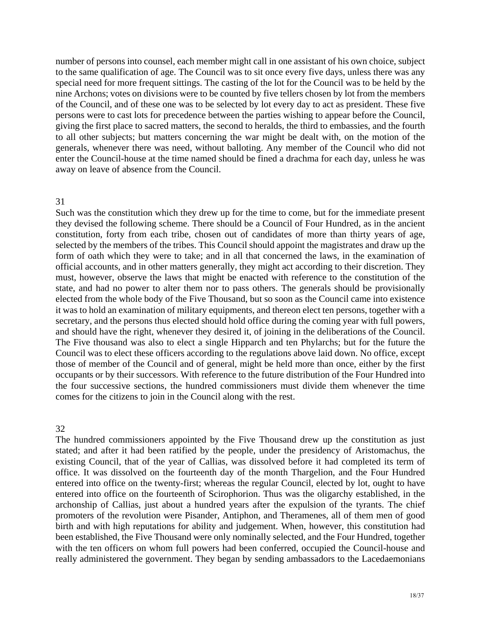number of persons into counsel, each member might call in one assistant of his own choice, subject to the same qualification of age. The Council was to sit once every five days, unless there was any special need for more frequent sittings. The casting of the lot for the Council was to be held by the nine Archons; votes on divisions were to be counted by five tellers chosen by lot from the members of the Council, and of these one was to be selected by lot every day to act as president. These five persons were to cast lots for precedence between the parties wishing to appear before the Council, giving the first place to sacred matters, the second to heralds, the third to embassies, and the fourth to all other subjects; but matters concerning the war might be dealt with, on the motion of the generals, whenever there was need, without balloting. Any member of the Council who did not enter the Council-house at the time named should be fined a drachma for each day, unless he was away on leave of absence from the Council.

### 31

Such was the constitution which they drew up for the time to come, but for the immediate present they devised the following scheme. There should be a Council of Four Hundred, as in the ancient constitution, forty from each tribe, chosen out of candidates of more than thirty years of age, selected by the members of the tribes. This Council should appoint the magistrates and draw up the form of oath which they were to take; and in all that concerned the laws, in the examination of official accounts, and in other matters generally, they might act according to their discretion. They must, however, observe the laws that might be enacted with reference to the constitution of the state, and had no power to alter them nor to pass others. The generals should be provisionally elected from the whole body of the Five Thousand, but so soon as the Council came into existence it was to hold an examination of military equipments, and thereon elect ten persons, together with a secretary, and the persons thus elected should hold office during the coming year with full powers, and should have the right, whenever they desired it, of joining in the deliberations of the Council. The Five thousand was also to elect a single Hipparch and ten Phylarchs; but for the future the Council was to elect these officers according to the regulations above laid down. No office, except those of member of the Council and of general, might be held more than once, either by the first occupants or by their successors. With reference to the future distribution of the Four Hundred into the four successive sections, the hundred commissioners must divide them whenever the time comes for the citizens to join in the Council along with the rest.

### 32

with the ten officers on whom full powers had been conferred, occupied the Council-house and really administered the government. They began by sending ambassadors to the Lacedaemonians The hundred commissioners appointed by the Five Thousand drew up the constitution as just stated; and after it had been ratified by the people, under the presidency of Aristomachus, the existing Council, that of the year of Callias, was dissolved before it had completed its term of office. It was dissolved on the fourteenth day of the month Thargelion, and the Four Hundred entered into office on the twenty-first; whereas the regular Council, elected by lot, ought to have entered into office on the fourteenth of Scirophorion. Thus was the oligarchy established, in the archonship of Callias, just about a hundred years after the expulsion of the tyrants. The chief promoters of the revolution were Pisander, Antiphon, and Theramenes, all of them men of good birth and with high reputations for ability and judgement. When, however, this constitution had been established, the Five Thousand were only nominally selected, and the Four Hundred, together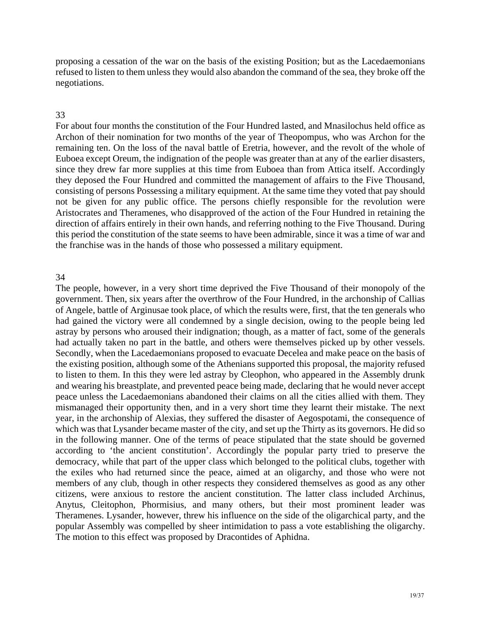proposing a cessation of the war on the basis of the existing Position; but as the Lacedaemonians refused to listen to them unless they would also abandon the command of the sea, they broke off the negotiations.

### 33

this period the constitution of the state seems to have been admirable, since it was a time of war and the franchise was in the hands of those who possessed a military equipment. For about four months the constitution of the Four Hundred lasted, and Mnasilochus held office as Archon of their nomination for two months of the year of Theopompus, who was Archon for the remaining ten. On the loss of the naval battle of Eretria, however, and the revolt of the whole of Euboea except Oreum, the indignation of the people was greater than at any of the earlier disasters, since they drew far more supplies at this time from Euboea than from Attica itself. Accordingly they deposed the Four Hundred and committed the management of affairs to the Five Thousand, consisting of persons Possessing a military equipment. At the same time they voted that pay should not be given for any public office. The persons chiefly responsible for the revolution were Aristocrates and Theramenes, who disapproved of the action of the Four Hundred in retaining the direction of affairs entirely in their own hands, and referring nothing to the Five Thousand. During

### 34

mismanaged their opportunity then, and in a very short time they learnt their mistake. The next year, in the archonship of Alexias, they suffered the disaster of Aegospotami, the consequence of which was that Lysander became master of the city, and set up the Thirty as its governors. He did so in the following manner. One of the terms of peace stipulated that the state should be governed The people, however, in a very short time deprived the Five Thousand of their monopoly of the government. Then, six years after the overthrow of the Four Hundred, in the archonship of Callias of Angele, battle of Arginusae took place, of which the results were, first, that the ten generals who had gained the victory were all condemned by a single decision, owing to the people being led astray by persons who aroused their indignation; though, as a matter of fact, some of the generals had actually taken no part in the battle, and others were themselves picked up by other vessels. Secondly, when the Lacedaemonians proposed to evacuate Decelea and make peace on the basis of the existing position, although some of the Athenians supported this proposal, the majority refused to listen to them. In this they were led astray by Cleophon, who appeared in the Assembly drunk and wearing his breastplate, and prevented peace being made, declaring that he would never accept peace unless the Lacedaemonians abandoned their claims on all the cities allied with them. They according to 'the ancient constitution'. Accordingly the popular party tried to preserve the democracy, while that part of the upper class which belonged to the political clubs, together with the exiles who had returned since the peace, aimed at an oligarchy, and those who were not members of any club, though in other respects they considered themselves as good as any other citizens, were anxious to restore the ancient constitution. The latter class included Archinus, Anytus, Cleitophon, Phormisius, and many others, but their most prominent leader was Theramenes. Lysander, however, threw his influence on the side of the oligarchical party, and the popular Assembly was compelled by sheer intimidation to pass a vote establishing the oligarchy. The motion to this effect was proposed by Dracontides of Aphidna.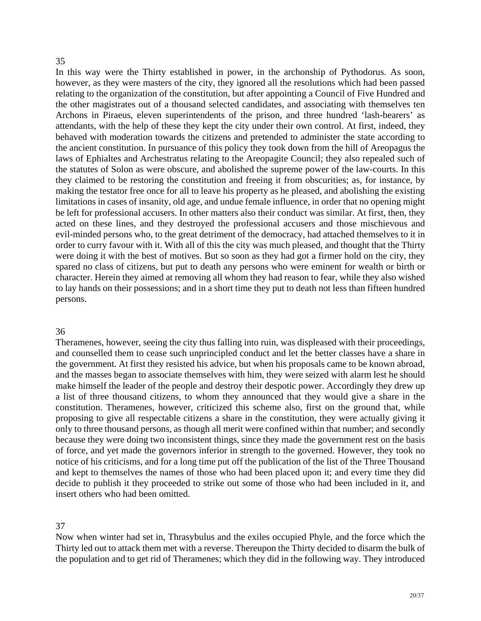### 35

In this way were the Thirty established in power, in the archonship of Pythodorus. As soon, however, as they were masters of the city, they ignored all the resolutions which had been passed relating to the organization of the constitution, but after appointing a Council of Five Hundred and the other magistrates out of a thousand selected candidates, and associating with themselves ten Archons in Piraeus, eleven superintendents of the prison, and three hundred 'lash-bearers' as attendants, with the help of these they kept the city under their own control. At first, indeed, they behaved with moderation towards the citizens and pretended to administer the state according to the ancient constitution. In pursuance of this policy they took down from the hill of Areopagus the laws of Ephialtes and Archestratus relating to the Areopagite Council; they also repealed such of the statutes of Solon as were obscure, and abolished the supreme power of the law-courts. In this they claimed to be restoring the constitution and freeing it from obscurities; as, for instance, by making the testator free once for all to leave his property as he pleased, and abolishing the existing limitations in cases of insanity, old age, and undue female influence, in order that no opening might be left for professional accusers. In other matters also their conduct was similar. At first, then, they acted on these lines, and they destroyed the professional accusers and those mischievous and evil-minded persons who, to the great detriment of the democracy, had attached themselves to it in order to curry favour with it. With all of this the city was much pleased, and thought that the Thirty were doing it with the best of motives. But so soon as they had got a firmer hold on the city, they spared no class of citizens, but put to death any persons who were eminent for wealth or birth or character. Herein they aimed at removing all whom they had reason to fear, while they also wished to lay hands on their possessions; and in a short time they put to death not less than fifteen hundred persons.

### 36

and kept to themselves the names of those who had been placed upon it; and every time they did decide to publish it they proceeded to strike out some of those who had been included in it, and insert others who had been omitted. Theramenes, however, seeing the city thus falling into ruin, was displeased with their proceedings, and counselled them to cease such unprincipled conduct and let the better classes have a share in the government. At first they resisted his advice, but when his proposals came to be known abroad, and the masses began to associate themselves with him, they were seized with alarm lest he should make himself the leader of the people and destroy their despotic power. Accordingly they drew up a list of three thousand citizens, to whom they announced that they would give a share in the constitution. Theramenes, however, criticized this scheme also, first on the ground that, while proposing to give all respectable citizens a share in the constitution, they were actually giving it only to three thousand persons, as though all merit were confined within that number; and secondly because they were doing two inconsistent things, since they made the government rest on the basis of force, and yet made the governors inferior in strength to the governed. However, they took no notice of his criticisms, and for a long time put off the publication of the list of the Three Thousand

### 37

Now when winter had set in, Thrasybulus and the exiles occupied Phyle, and the force which the Thirty led out to attack them met with a reverse. Thereupon the Thirty decided to disarm the bulk of the population and to get rid of Theramenes; which they did in the following way. They introduced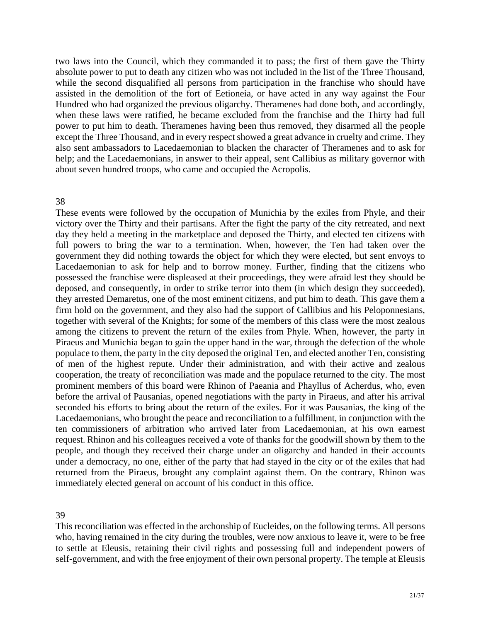two laws into the Council, which they commanded it to pass; the first of them gave the Thirty absolute power to put to death any citizen who was not included in the list of the Three Thousand, while the second disqualified all persons from participation in the franchise who should have assisted in the demolition of the fort of Eetioneia, or have acted in any way against the Four Hundred who had organized the previous oligarchy. Theramenes had done both, and accordingly, when these laws were ratified, he became excluded from the franchise and the Thirty had full power to put him to death. Theramenes having been thus removed, they disarmed all the people except the Three Thousand, and in every respect showed a great advance in cruelty and crime. They also sent ambassadors to Lacedaemonian to blacken the character of Theramenes and to ask for help; and the Lacedaemonians, in answer to their appeal, sent Callibius as military governor with about seven hundred troops, who came and occupied the Acropolis.

### 38

populace to them, the party in the city deposed the original Ten, and elected another Ten, consisting of men of the highest repute. Under their administration, and with their active and zealous ooperation, the treaty of reconciliation was made and the populace returned to the city. The most c prominent members of this board were Rhinon of Paeania and Phayllus of Acherdus, who, even These events were followed by the occupation of Munichia by the exiles from Phyle, and their victory over the Thirty and their partisans. After the fight the party of the city retreated, and next day they held a meeting in the marketplace and deposed the Thirty, and elected ten citizens with full powers to bring the war to a termination. When, however, the Ten had taken over the government they did nothing towards the object for which they were elected, but sent envoys to Lacedaemonian to ask for help and to borrow money. Further, finding that the citizens who possessed the franchise were displeased at their proceedings, they were afraid lest they should be deposed, and consequently, in order to strike terror into them (in which design they succeeded), they arrested Demaretus, one of the most eminent citizens, and put him to death. This gave them a firm hold on the government, and they also had the support of Callibius and his Peloponnesians, together with several of the Knights; for some of the members of this class were the most zealous among the citizens to prevent the return of the exiles from Phyle. When, however, the party in Piraeus and Munichia began to gain the upper hand in the war, through the defection of the whole before the arrival of Pausanias, opened negotiations with the party in Piraeus, and after his arrival seconded his efforts to bring about the return of the exiles. For it was Pausanias, the king of the Lacedaemonians, who brought the peace and reconciliation to a fulfillment, in conjunction with the ten commissioners of arbitration who arrived later from Lacedaemonian, at his own earnest request. Rhinon and his colleagues received a vote of thanks for the goodwill shown by them to the people, and though they received their charge under an oligarchy and handed in their accounts under a democracy, no one, either of the party that had stayed in the city or of the exiles that had returned from the Piraeus, brought any complaint against them. On the contrary, Rhinon was immediately elected general on account of his conduct in this office.

39

This reconciliation was effected in the archonship of Eucleides, on the following terms. All persons who, having remained in the city during the troubles, were now anxious to leave it, were to be free to settle at Eleusis, retaining their civil rights and possessing full and independent powers of self-government, and with the free enjoyment of their own personal property. The temple at Eleusis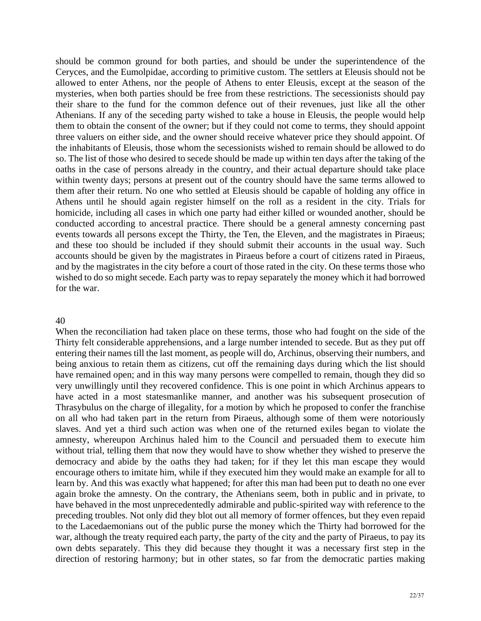should be common ground for both parties, and should be under the superintendence of the Ceryces, and the Eumolpidae, according to primitive custom. The settlers at Eleusis should not be allowed to enter Athens, nor the people of Athens to enter Eleusis, except at the season of the mysteries, when both parties should be free from these restrictions. The secessionists should pay their share to the fund for the common defence out of their revenues, just like all the other Athenians. If any of the seceding party wished to take a house in Eleusis, the people would help them to obtain the consent of the owner; but if they could not come to terms, they should appoint three valuers on either side, and the owner should receive whatever price they should appoint. Of the inhabitants of Eleusis, those whom the secessionists wished to remain should be allowed to do so. The list of those who desired to secede should be made up within ten days after the taking of the oaths in the case of persons already in the country, and their actual departure should take place within twenty days; persons at present out of the country should have the same terms allowed to them after their return. No one who settled at Eleusis should be capable of holding any office in Athens until he should again register himself on the roll as a resident in the city. Trials for homicide, including all cases in which one party had either killed or wounded another, should be conducted according to ancestral practice. There should be a general amnesty concerning past events towards all persons except the Thirty, the Ten, the Eleven, and the magistrates in Piraeus; and these too should be included if they should submit their accounts in the usual way. Such accounts should be given by the magistrates in Piraeus before a court of citizens rated in Piraeus, and by the magistrates in the city before a court of those rated in the city. On these terms those who wished to do so might secede. Each party was to repay separately the money which it had borrowed for the war.

### 40

encourage others to imitate him, while if they executed him they would make an example for all to learn by. And this was exactly what happened; for after this man had been put to death no one ever again broke the amnesty. On the contrary, the Athenians seem, both in public and in private, to have behaved in the most unprecedentedly admirable and public-spirited way with reference to the When the reconciliation had taken place on these terms, those who had fought on the side of the Thirty felt considerable apprehensions, and a large number intended to secede. But as they put off entering their names till the last moment, as people will do, Archinus, observing their numbers, and being anxious to retain them as citizens, cut off the remaining days during which the list should have remained open; and in this way many persons were compelled to remain, though they did so very unwillingly until they recovered confidence. This is one point in which Archinus appears to have acted in a most statesmanlike manner, and another was his subsequent prosecution of Thrasybulus on the charge of illegality, for a motion by which he proposed to confer the franchise on all who had taken part in the return from Piraeus, although some of them were notoriously slaves. And yet a third such action was when one of the returned exiles began to violate the amnesty, whereupon Archinus haled him to the Council and persuaded them to execute him without trial, telling them that now they would have to show whether they wished to preserve the democracy and abide by the oaths they had taken; for if they let this man escape they would preceding troubles. Not only did they blot out all memory of former offences, but they even repaid to the Lacedaemonians out of the public purse the money which the Thirty had borrowed for the war, although the treaty required each party, the party of the city and the party of Piraeus, to pay its own debts separately. This they did because they thought it was a necessary first step in the direction of restoring harmony; but in other states, so far from the democratic parties making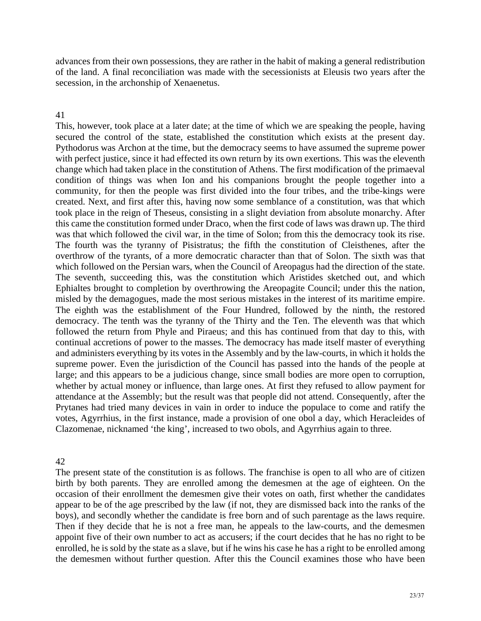advances from their own possessions, they are rather in the habit of making a general redistribution of the land. A final reconciliation was made with the secessionists at Eleusis two years after the secession, in the archonship of Xenaenetus.

### 41

This, however, took place at a later date; at the time of which we are speaking the people, having secured the control of the state, established the constitution which exists at the present day. Pythodorus was Archon at the time, but the democracy seems to have assumed the supreme power with perfect justice, since it had effected its own return by its own exertions. This was the eleventh change which had taken place in the constitution of Athens. The first modification of the primaeval condition of things was when Ion and his companions brought the people together into a community, for then the people was first divided into the four tribes, and the tribe-kings were created. Next, and first after this, having now some semblance of a constitution, was that which took place in the reign of Theseus, consisting in a slight deviation from absolute monarchy. After this came the constitution formed under Draco, when the first code of laws was drawn up. The third was that which followed the civil war, in the time of Solon; from this the democracy took its rise. The fourth was the tyranny of Pisistratus; the fifth the constitution of Cleisthenes, after the overthrow of the tyrants, of a more democratic character than that of Solon. The sixth was that which followed on the Persian wars, when the Council of Areopagus had the direction of the state. The seventh, succeeding this, was the constitution which Aristides sketched out, and which Ephialtes brought to completion by overthrowing the Areopagite Council; under this the nation, misled by the demagogues, made the most serious mistakes in the interest of its maritime empire. The eighth was the establishment of the Four Hundred, followed by the ninth, the restored democracy. The tenth was the tyranny of the Thirty and the Ten. The eleventh was that which followed the return from Phyle and Piraeus; and this has continued from that day to this, with continual accretions of power to the masses. The democracy has made itself master of everything and administers everything by its votes in the Assembly and by the law-courts, in which it holds the supreme power. Even the jurisdiction of the Council has passed into the hands of the people at large; and this appears to be a judicious change, since small bodies are more open to corruption, whether by actual money or influence, than large ones. At first they refused to allow payment for attendance at the Assembly; but the result was that people did not attend. Consequently, after the Prytanes had tried many devices in vain in order to induce the populace to come and ratify the votes, Agyrrhius, in the first instance, made a provision of one obol a day, which Heracleides of Clazomenae, nicknamed 'the king', increased to two obols, and Agyrrhius again to three.

## 42

The present state of the constitution is as follows. The franchise is open to all who are of citizen birth by both parents. They are enrolled among the demesmen at the age of eighteen. On the occasion of their enrollment the demesmen give their votes on oath, first whether the candidates appear to be of the age prescribed by the law (if not, they are dismissed back into the ranks of the boys), and secondly whether the candidate is free born and of such parentage as the laws require. Then if they decide that he is not a free man, he appeals to the law-courts, and the demesmen appoint five of their own number to act as accusers; if the court decides that he has no right to be enrolled, he is sold by the state as a slave, but if he wins his case he has a right to be enrolled among the demesmen without further question. After this the Council examines those who have been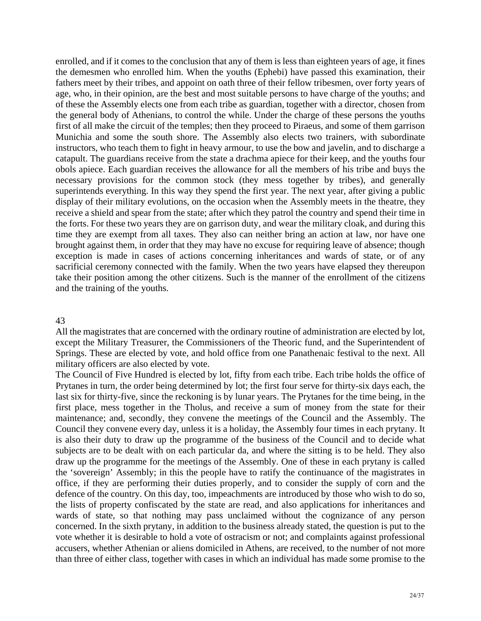enrolled, and if it comes to the conclusion that any of them is less than eighteen years of age, it fines the demesmen who enrolled him. When the youths (Ephebi) have passed this examination, their fathers meet by their tribes, and appoint on oath three of their fellow tribesmen, over forty years of age, who, in their opinion, are the best and most suitable persons to have charge of the youths; and of these the Assembly elects one from each tribe as guardian, together with a director, chosen from the general body of Athenians, to control the while. Under the charge of these persons the youths first of all make the circuit of the temples; then they proceed to Piraeus, and some of them garrison Munichia and some the south shore. The Assembly also elects two trainers, with subordinate instructors, who teach them to fight in heavy armour, to use the bow and javelin, and to discharge a catapult. The guardians receive from the state a drachma apiece for their keep, and the youths four obols apiece. Each guardian receives the allowance for all the members of his tribe and buys the necessary provisions for the common stock (they mess together by tribes), and generally superintends everything. In this way they spend the first year. The next year, after giving a public display of their military evolutions, on the occasion when the Assembly meets in the theatre, they receive a shield and spear from the state; after which they patrol the country and spend their time in the forts. For these two years they are on garrison duty, and wear the military cloak, and during this time they are exempt from all taxes. They also can neither bring an action at law, nor have one brought against them, in order that they may have no excuse for requiring leave of absence; though exception is made in cases of actions concerning inheritances and wards of state, or of any sacrificial ceremony connected with the family. When the two years have elapsed they thereupon take their position among the other citizens. Such is the manner of the enrollment of the citizens and the training of the youths.

### 43

All the magistrates that are concerned with the ordinary routine of administration are elected by lot, except the Military Treasurer, the Commissioners of the Theoric fund, and the Superintendent of Springs. These are elected by vote, and hold office from one Panathenaic festival to the next. All military officers are also elected by vote.

defence of the country. On this day, too, impeachments are introduced by those who wish to do so, the lists of property confiscated by the state are read, and also applications for inheritances and wards of state, so that nothing may pass unclaimed without the cognizance of any person concerned. In the sixth prytany, in addition to the business already stated, the question is put to the than three of either class, together with cases in which an individual has made some promise to the The Council of Five Hundred is elected by lot, fifty from each tribe. Each tribe holds the office of Prytanes in turn, the order being determined by lot; the first four serve for thirty-six days each, the last six for thirty-five, since the reckoning is by lunar years. The Prytanes for the time being, in the first place, mess together in the Tholus, and receive a sum of money from the state for their maintenance; and, secondly, they convene the meetings of the Council and the Assembly. The Council they convene every day, unless it is a holiday, the Assembly four times in each prytany. It is also their duty to draw up the programme of the business of the Council and to decide what subjects are to be dealt with on each particular da, and where the sitting is to be held. They also draw up the programme for the meetings of the Assembly. One of these in each prytany is called the 'sovereign' Assembly; in this the people have to ratify the continuance of the magistrates in office, if they are performing their duties properly, and to consider the supply of corn and the vote whether it is desirable to hold a vote of ostracism or not; and complaints against professional accusers, whether Athenian or aliens domiciled in Athens, are received, to the number of not more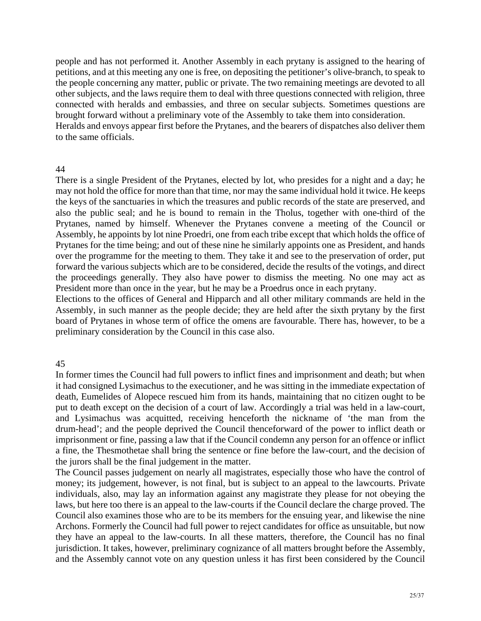people and has not performed it. Another Assembly in each prytany is assigned to the hearing of petitions, and at this meeting any one is free, on depositing the petitioner's olive-branch, to speak to the people concerning any matter, public or private. The two remaining meetings are devoted to all other subjects, and the laws require them to deal with three questions connected with religion, three connected with heralds and embassies, and three on secular subjects. Sometimes questions are brought forward without a preliminary vote of the Assembly to take them into consideration. Heralds and envoys appear first before the Prytanes, and the bearers of dispatches also deliver them to the same officials.

## 44

There is a single President of the Prytanes, elected by lot, who presides for a night and a day; he may not hold the office for more than that time, nor may the same individual hold it twice. He keeps the keys of the sanctuaries in which the treasures and public records of the state are preserved, and also the public seal; and he is bound to remain in the Tholus, together with one-third of the Prytanes, named by himself. Whenever the Prytanes convene a meeting of the Council or Assembly, he appoints by lot nine Proedri, one from each tribe except that which holds the office of Prytanes for the time being; and out of these nine he similarly appoints one as President, and hands over the programme for the meeting to them. They take it and see to the preservation of order, put forward the various subjects which are to be considered, decide the results of the votings, and direct the proceedings generally. They also have power to dismiss the meeting. No one may act as President more than once in the year, but he may be a Proedrus once in each prytany.

Elections to the offices of General and Hipparch and all other military commands are held in the Assembly, in such manner as the people decide; they are held after the sixth prytany by the first board of Prytanes in whose term of office the omens are favourable. There has, however, to be a preliminary consideration by the Council in this case also.

# 45

In former times the Council had full powers to inflict fines and imprisonment and death; but when it had consigned Lysimachus to the executioner, and he was sitting in the immediate expectation of death, Eumelides of Alopece rescued him from its hands, maintaining that no citizen ought to be put to death except on the decision of a court of law. Accordingly a trial was held in a law-court, and Lysimachus was acquitted, receiving henceforth the nickname of 'the man from the drum-head'; and the people deprived the Council thenceforward of the power to inflict death or imprisonment or fine, passing a law that if the Council condemn any person for an offence or inflict a fine, the Thesmothetae shall bring the sentence or fine before the law-court, and the decision of the jurors shall be the final judgement in the matter.

Archons. Formerly the Council had full power to reject candidates for office as unsuitable, but now and the Assembly cannot vote on any question unless it has first been considered by the Council The Council passes judgement on nearly all magistrates, especially those who have the control of money; its judgement, however, is not final, but is subject to an appeal to the lawcourts. Private individuals, also, may lay an information against any magistrate they please for not obeying the laws, but here too there is an appeal to the law-courts if the Council declare the charge proved. The Council also examines those who are to be its members for the ensuing year, and likewise the nine they have an appeal to the law-courts. In all these matters, therefore, the Council has no final jurisdiction. It takes, however, preliminary cognizance of all matters brought before the Assembly,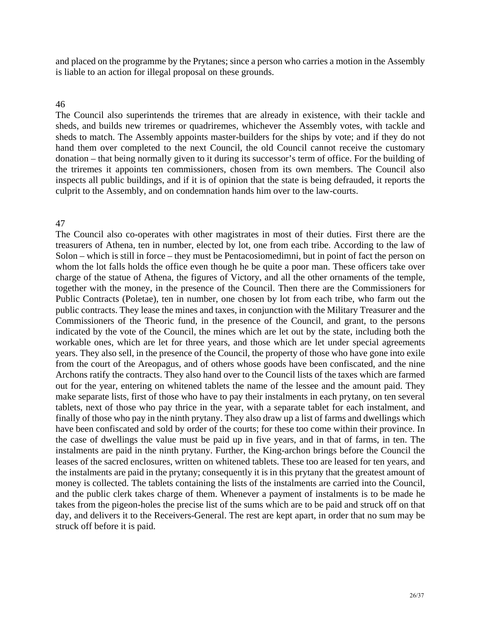and placed on the programme by the Prytanes; since a person who carries a motion in the Assembly is liable to an action for illegal proposal on these grounds.

### 46

The Council also superintends the triremes that are already in existence, with their tackle and sheds, and builds new triremes or quadriremes, whichever the Assembly votes, with tackle and sheds to match. The Assembly appoints master-builders for the ships by vote; and if they do not hand them over completed to the next Council, the old Council cannot receive the customary donation – that being normally given to it during its successor's term of office. For the building of the triremes it appoints ten commissioners, chosen from its own members. The Council also inspects all public buildings, and if it is of opinion that the state is being defrauded, it reports the culprit to the Assembly, and on condemnation hands him over to the law-courts.

### 47

The Council also co-operates with other magistrates in most of their duties. First there are the treasurers of Athena, ten in number, elected by lot, one from each tribe. According to the law of Solon – which is still in force – they must be Pentacosiomedimni, but in point of fact the person on whom the lot falls holds the office even though he be quite a poor man. These officers take over charge of the statue of Athena, the figures of Victory, and all the other ornaments of the temple, together with the money, in the presence of the Council. Then there are the Commissioners for Public Contracts (Poletae), ten in number, one chosen by lot from each tribe, who farm out the public contracts. They lease the mines and taxes, in conjunction with the Military Treasurer and the Commissioners of the Theoric fund, in the presence of the Council, and grant, to the persons indicated by the vote of the Council, the mines which are let out by the state, including both the workable ones, which are let for three years, and those which are let under special agreements years. They also sell, in the presence of the Council, the property of those who have gone into exile the case of dwellings the value must be paid up in five years, and in that of farms, in ten. The instalments are paid in the ninth prytany. Further, the King-archon brings before the Council the leases of the sacred enclosures, written on whitened tablets. These too are leased for ten years, and the instalments are paid in the prytany; consequently it is in this prytany that the greatest amount of from the court of the Areopagus, and of others whose goods have been confiscated, and the nine Archons ratify the contracts. They also hand over to the Council lists of the taxes which are farmed out for the year, entering on whitened tablets the name of the lessee and the amount paid. They make separate lists, first of those who have to pay their instalments in each prytany, on ten several tablets, next of those who pay thrice in the year, with a separate tablet for each instalment, and finally of those who pay in the ninth prytany. They also draw up a list of farms and dwellings which have been confiscated and sold by order of the courts; for these too come within their province. In money is collected. The tablets containing the lists of the instalments are carried into the Council, and the public clerk takes charge of them. Whenever a payment of instalments is to be made he takes from the pigeon-holes the precise list of the sums which are to be paid and struck off on that day, and delivers it to the Receivers-General. The rest are kept apart, in order that no sum may be struck off before it is paid.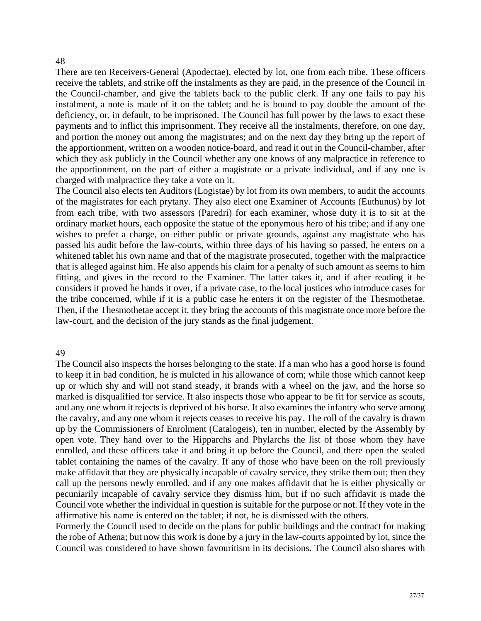### 48

There are ten Receivers-General (Apodectae), elected by lot, one from each tribe. These officers receive the tablets, and strike off the instalments as they are paid, in the presence of the Council in the Council-chamber, and give the tablets back to the public clerk. If any one fails to pay his instalment, a note is made of it on the tablet; and he is bound to pay double the amount of the deficiency, or, in default, to be imprisoned. The Council has full power by the laws to exact these payments and to inflict this imprisonment. They receive all the instalments, therefore, on one day, and portion the money out among the magistrates; and on the next day they bring up the report of the apportionment, written on a wooden notice-board, and read it out in the Council-chamber, after which they ask publicly in the Council whether any one knows of any malpractice in reference to the apportionment, on the part of either a magistrate or a private individual, and if any one is charged with malpractice they take a vote on it.

The Council also elects ten Auditors (Logistae) by lot from its own members, to audit the accounts of the magistrates for each prytany. They also elect one Examiner of Accounts (Euthunus) by lot from each tribe, with two assessors (Paredri) for each examiner, whose duty it is to sit at the ordinary market hours, each opposite the statue of the eponymous hero of his tribe; and if any one wishes to prefer a charge, on either public or private grounds, against any magistrate who has passed his audit before the law-courts, within three days of his having so passed, he enters on a whitened tablet his own name and that of the magistrate prosecuted, together with the malpractice that is alleged against him. He also appends his claim for a penalty of such amount as seems to him fitting, and gives in the record to the Examiner. The latter takes it, and if after reading it he considers it proved he hands it over, if a private case, to the local justices who introduce cases for the tribe concerned, while if it is a public case he enters it on the register of the Thesmothetae. Then, if the Thesmothetae accept it, they bring the accounts of this magistrate once more before the law-court, and the decision of the jury stands as the final judgement.

#### 49

up by the Commissioners of Enrolment (Catalogeis), ten in number, elected by the Assembly by The Council also inspects the horses belonging to the state. If a man who has a good horse is found to keep it in bad condition, he is mulcted in his allowance of corn; while those which cannot keep up or which shy and will not stand steady, it brands with a wheel on the jaw, and the horse so marked is disqualified for service. It also inspects those who appear to be fit for service as scouts, and any one whom it rejects is deprived of his horse. It also examines the infantry who serve among the cavalry, and any one whom it rejects ceases to receive his pay. The roll of the cavalry is drawn open vote. They hand over to the Hipparchs and Phylarchs the list of those whom they have enrolled, and these officers take it and bring it up before the Council, and there open the sealed tablet containing the names of the cavalry. If any of those who have been on the roll previously make affidavit that they are physically incapable of cavalry service, they strike them out; then they call up the persons newly enrolled, and if any one makes affidavit that he is either physically or pecuniarily incapable of cavalry service they dismiss him, but if no such affidavit is made the Council vote whether the individual in question is suitable for the purpose or not. If they vote in the affirmative his name is entered on the tablet; if not, he is dismissed with the others.

Formerly the Council used to decide on the plans for public buildings and the contract for making the robe of Athena; but now this work is done by a jury in the law-courts appointed by lot, since the Council was considered to have shown favouritism in its decisions. The Council also shares with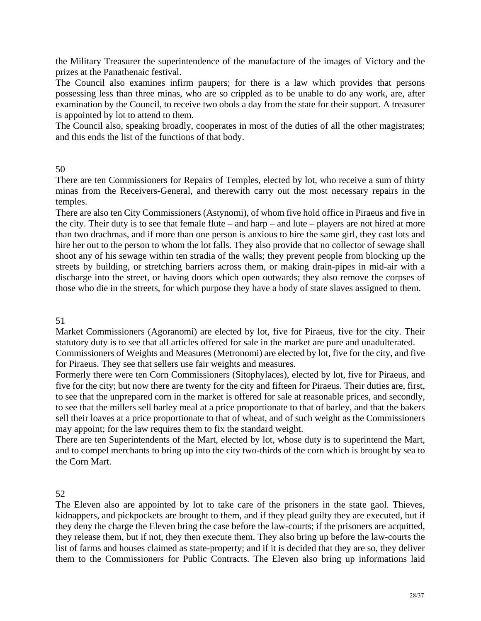the Military Treasurer the superintendence of the manufacture of the images of Victory and the prizes at the Panathenaic festival.

The Council also examines infirm paupers; for there is a law which provides that persons possessing less than three minas, who are so crippled as to be unable to do any work, are, after examination by the Council, to receive two obols a day from the state for their support. A treasurer is appointed by lot to attend to them.

The Council also, speaking broadly, cooperates in most of the duties of all the other magistrates; and this ends the list of the functions of that body.

# 50

There are ten Commissioners for Repairs of Temples, elected by lot, who receive a sum of thirty minas from the Receivers-General, and therewith carry out the most necessary repairs in the temples.

discharge into the street, or having doors which open outwards; they also remove the corpses of There are also ten City Commissioners (Astynomi), of whom five hold office in Piraeus and five in the city. Their duty is to see that female flute – and harp – and lute – players are not hired at more than two drachmas, and if more than one person is anxious to hire the same girl, they cast lots and hire her out to the person to whom the lot falls. They also provide that no collector of sewage shall shoot any of his sewage within ten stradia of the walls; they prevent people from blocking up the streets by building, or stretching barriers across them, or making drain-pipes in mid-air with a those who die in the streets, for which purpose they have a body of state slaves assigned to them.

# 51

Market Commissioners (Agoranomi) are elected by lot, five for Piraeus, five for the city. Their statutory duty is to see that all articles offered for sale in the market are pure and unadulterated.

Commissioners of Weights and Measures (Metronomi) are elected by lot, five for the city, and five for Piraeus. They see that sellers use fair weights and measures.

Formerly there were ten Corn Commissioners (Sitophylaces), elected by lot, five for Piraeus, and to see that the unprepared corn in the market is offered for sale at reasonable prices, and secondly, to see that the millers sell barley meal at a price proportionate to that of barley, and that the bakers sell their loaves at a price proportionate to that of wheat, and of such weight as the Commissioners five for the city; but now there are twenty for the city and fifteen for Piraeus. Their duties are, first, may appoint; for the law requires them to fix the standard weight.

the Corn Mart. There are ten Superintendents of the Mart, elected by lot, whose duty is to superintend the Mart, and to compel merchants to bring up into the city two-thirds of the corn which is brought by sea to

# 52

them to the Commissioners for Public Contracts. The Eleven also bring up informations laid The Eleven also are appointed by lot to take care of the prisoners in the state gaol. Thieves, kidnappers, and pickpockets are brought to them, and if they plead guilty they are executed, but if they deny the charge the Eleven bring the case before the law-courts; if the prisoners are acquitted, they release them, but if not, they then execute them. They also bring up before the law-courts the list of farms and houses claimed as state-property; and if it is decided that they are so, they deliver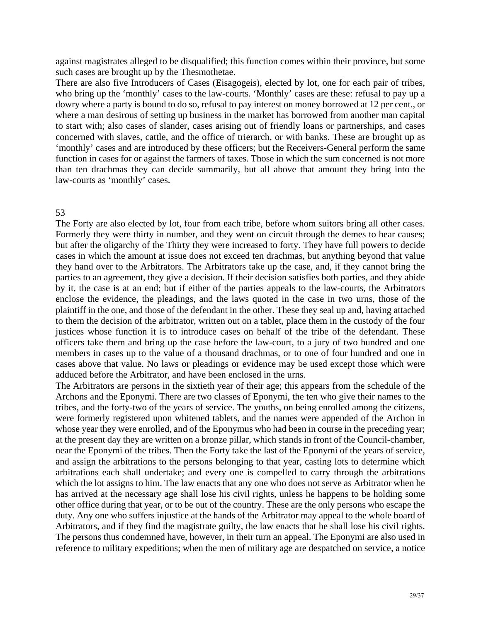against magistrates alleged to be disqualified; this function comes within their province, but some such cases are brought up by the Thesmothetae.

There are also five Introducers of Cases (Eisagogeis), elected by lot, one for each pair of tribes, dowry where a party is bound to do so, refusal to pay interest on money borrowed at 12 per cent., or to start with; also cases of slander, cases arising out of friendly loans or partnerships, and cases who bring up the 'monthly' cases to the law-courts. 'Monthly' cases are these: refusal to pay up a where a man desirous of setting up business in the market has borrowed from another man capital concerned with slaves, cattle, and the office of trierarch, or with banks. These are brought up as 'monthly' cases and are introduced by these officers; but the Receivers-General perform the same function in cases for or against the farmers of taxes. Those in which the sum concerned is not more than ten drachmas they can decide summarily, but all above that amount they bring into the law-courts as 'monthly' cases.

### 53

The Forty are also elected by lot, four from each tribe, before whom suitors bring all other cases. Formerly they were thirty in number, and they went on circuit through the demes to hear causes; but after the oligarchy of the Thirty they were increased to forty. They have full powers to decide cases in which the amount at issue does not exceed ten drachmas, but anything beyond that value officers take them and bring up the case before the law-court, to a jury of two hundred and one they hand over to the Arbitrators. The Arbitrators take up the case, and, if they cannot bring the parties to an agreement, they give a decision. If their decision satisfies both parties, and they abide by it, the case is at an end; but if either of the parties appeals to the law-courts, the Arbitrators enclose the evidence, the pleadings, and the laws quoted in the case in two urns, those of the plaintiff in the one, and those of the defendant in the other. These they seal up and, having attached to them the decision of the arbitrator, written out on a tablet, place them in the custody of the four justices whose function it is to introduce cases on behalf of the tribe of the defendant. These members in cases up to the value of a thousand drachmas, or to one of four hundred and one in cases above that value. No laws or pleadings or evidence may be used except those which were adduced before the Arbitrator, and have been enclosed in the urns.

near the Eponymi of the tribes. Then the Forty take the last of the Eponymi of the years of service, and assign the arbitrations to the persons belonging to that year, casting lots to determine which arbitrations each shall undertake; and every one is compelled to carry through the arbitrations which the lot assigns to him. The law enacts that any one who does not serve as Arbitrator when he The Arbitrators are persons in the sixtieth year of their age; this appears from the schedule of the Archons and the Eponymi. There are two classes of Eponymi, the ten who give their names to the tribes, and the forty-two of the years of service. The youths, on being enrolled among the citizens, were formerly registered upon whitened tablets, and the names were appended of the Archon in whose year they were enrolled, and of the Eponymus who had been in course in the preceding year; at the present day they are written on a bronze pillar, which stands in front of the Council-chamber, has arrived at the necessary age shall lose his civil rights, unless he happens to be holding some other office during that year, or to be out of the country. These are the only persons who escape the duty. Any one who suffers injustice at the hands of the Arbitrator may appeal to the whole board of Arbitrators, and if they find the magistrate guilty, the law enacts that he shall lose his civil rights. The persons thus condemned have, however, in their turn an appeal. The Eponymi are also used in reference to military expeditions; when the men of military age are despatched on service, a notice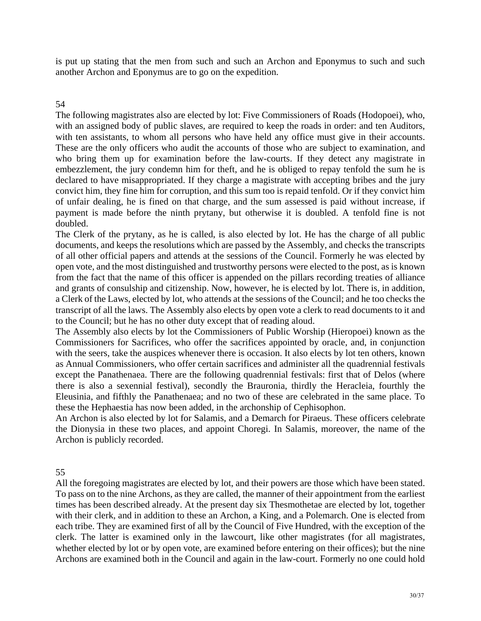is put up stating that the men from such and such an Archon and Eponymus to such and such another Archon and Eponymus are to go on the expedition.

# 54

The following magistrates also are elected by lot: Five Commissioners of Roads (Hodopoei), who, with an assigned body of public slaves, are required to keep the roads in order: and ten Auditors, with ten assistants, to whom all persons who have held any office must give in their accounts. These are the only officers who audit the accounts of those who are subject to examination, and who bring them up for examination before the law-courts. If they detect any magistrate in embezzlement, the jury condemn him for theft, and he is obliged to repay tenfold the sum he is declared to have misappropriated. If they charge a magistrate with accepting bribes and the jury convict him, they fine him for corruption, and this sum too is repaid tenfold. Or if they convict him of unfair dealing, he is fined on that charge, and the sum assessed is paid without increase, if payment is made before the ninth prytany, but otherwise it is doubled. A tenfold fine is not doubled.

The Clerk of the prytany, as he is called, is also elected by lot. He has the charge of all public documents, and keeps the resolutions which are passed by the Assembly, and checks the transcripts of all other official papers and attends at the sessions of the Council. Formerly he was elected by open vote, and the most distinguished and trustworthy persons were elected to the post, as is known from the fact that the name of this officer is appended on the pillars recording treaties of alliance and grants of consulship and citizenship. Now, however, he is elected by lot. There is, in addition, a Clerk of the Laws, elected by lot, who attends at the sessions of the Council; and he too checks the transcript of all the laws. The Assembly also elects by open vote a clerk to read documents to it and to the Council; but he has no other duty except that of reading aloud.

The Assembly also elects by lot the Commissioners of Public Worship (Hieropoei) known as the Commissioners for Sacrifices, who offer the sacrifices appointed by oracle, and, in conjunction with the seers, take the auspices whenever there is occasion. It also elects by lot ten others, known as Annual Commissioners, who offer certain sacrifices and administer all the quadrennial festivals except the Panathenaea. There are the following quadrennial festivals: first that of Delos (where there is also a sexennial festival), secondly the Brauronia, thirdly the Heracleia, fourthly the Eleusinia, and fifthly the Panathenaea; and no two of these are celebrated in the same place. To these the Hephaestia has now been added, in the archonship of Cephisophon.

An Archon is also elected by lot for Salamis, and a Demarch for Piraeus. These officers celebrate the Dionysia in these two places, and appoint Choregi. In Salamis, moreover, the name of the Archon is publicly recorded.

## 55

All the foregoing magistrates are elected by lot, and their powers are those which have been stated. To pass on to the nine Archons, as they are called, the manner of their appointment from the earliest times has been described already. At the present day six Thesmothetae are elected by lot, together with their clerk, and in addition to these an Archon, a King, and a Polemarch. One is elected from each tribe. They are examined first of all by the Council of Five Hundred, with the exception of the clerk. The latter is examined only in the lawcourt, like other magistrates (for all magistrates, whether elected by lot or by open vote, are examined before entering on their offices); but the nine Archons are examined both in the Council and again in the law-court. Formerly no one could hold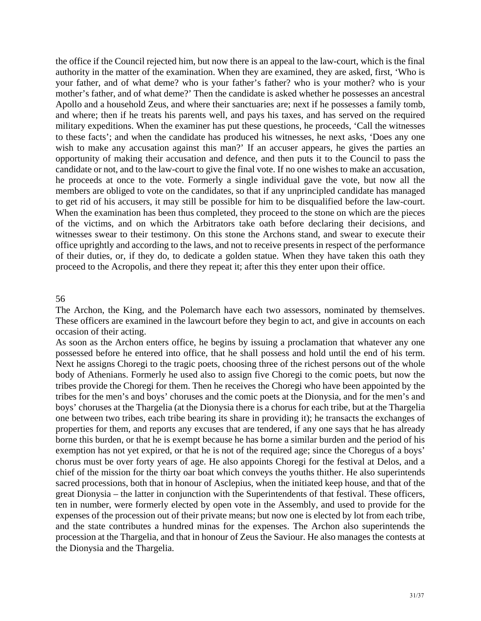the office if the Council rejected him, but now there is an appeal to the law-court, which is the final authority in the matter of the examination. When they are examined, they are asked, first, 'Who is your father, and of what deme? who is your father's father? who is your mother? who is your candidate or not, and to the law-court to give the final vote. If no one wishes to make an accusation, to get rid of his accusers, it may still be possible for him to be disqualified before the law-court. When the examination has been thus completed, they proceed to the stone on which are the pieces of the victims, and on which the Arbitrators take oath before declaring their decisions, and witnesses swear to their testimony. On this stone the Archons stand, and swear to execute their mother's father, and of what deme?' Then the candidate is asked whether he possesses an ancestral Apollo and a household Zeus, and where their sanctuaries are; next if he possesses a family tomb, and where; then if he treats his parents well, and pays his taxes, and has served on the required military expeditions. When the examiner has put these questions, he proceeds, 'Call the witnesses to these facts'; and when the candidate has produced his witnesses, he next asks, 'Does any one wish to make any accusation against this man?' If an accuser appears, he gives the parties an opportunity of making their accusation and defence, and then puts it to the Council to pass the he proceeds at once to the vote. Formerly a single individual gave the vote, but now all the members are obliged to vote on the candidates, so that if any unprincipled candidate has managed office uprightly and according to the laws, and not to receive presents in respect of the performance of their duties, or, if they do, to dedicate a golden statue. When they have taken this oath they proceed to the Acropolis, and there they repeat it; after this they enter upon their office.

### 56

The Archon, the King, and the Polemarch have each two assessors, nominated by themselves. These officers are examined in the lawcourt before they begin to act, and give in accounts on each occasion of their acting.

As soon as the Archon enters office, he begins by issuing a proclamation that whatever any one possessed before he entered into office, that he shall possess and hold until the end of his term. Next he assigns Choregi to the tragic poets, choosing three of the richest persons out of the whole body of Athenians. Formerly he used also to assign five Choregi to the comic poets, but now the tribes provide the Choregi for them. Then he receives the Choregi who have been appointed by the tribes for the men's and boys' choruses and the comic poets at the Dionysia, and for the men's and boys' choruses at the Thargelia (at the Dionysia there is a chorus for each tribe, but at the Thargelia one between two tribes, each tribe bearing its share in providing it); he transacts the exchanges of properties for them, and reports any excuses that are tendered, if any one says that he has already borne this burden, or that he is exempt because he has borne a similar burden and the period of his exemption has not yet expired, or that he is not of the required age; since the Choregus of a boys' chorus must be over forty years of age. He also appoints Choregi for the festival at Delos, and a chief of the mission for the thirty oar boat which conveys the youths thither. He also superintends sacred processions, both that in honour of Asclepius, when the initiated keep house, and that of the great Dionysia – the latter in conjunction with the Superintendents of that festival. These officers, ten in number, were formerly elected by open vote in the Assembly, and used to provide for the expenses of the procession out of their private means; but now one is elected by lot from each tribe, and the state contributes a hundred minas for the expenses. The Archon also superintends the procession at the Thargelia, and that in honour of Zeus the Saviour. He also manages the contests at the Dionysia and the Thargelia.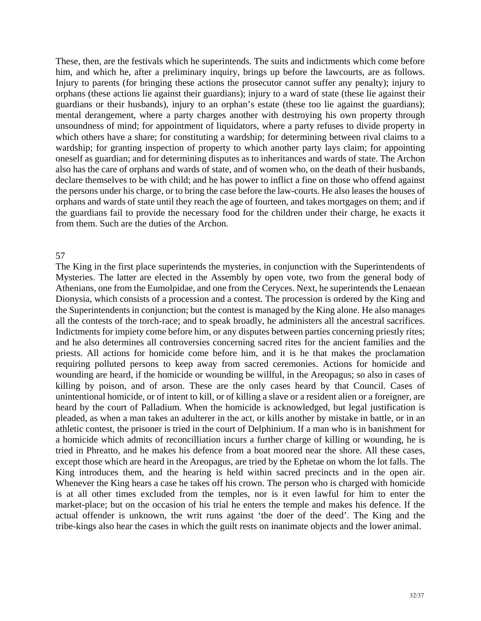These, then, are the festivals which he superintends. The suits and indictments which come before him, and which he, after a preliminary inquiry, brings up before the lawcourts, are as follows. guardians or their husbands), injury to an orphan's estate (these too lie against the guardians); Injury to parents (for bringing these actions the prosecutor cannot suffer any penalty); injury to orphans (these actions lie against their guardians); injury to a ward of state (these lie against their mental derangement, where a party charges another with destroying his own property through unsoundness of mind; for appointment of liquidators, where a party refuses to divide property in which others have a share; for constituting a wardship; for determining between rival claims to a wardship; for granting inspection of property to which another party lays claim; for appointing oneself as guardian; and for determining disputes as to inheritances and wards of state. The Archon also has the care of orphans and wards of state, and of women who, on the death of their husbands, declare themselves to be with child; and he has power to inflict a fine on those who offend against the persons under his charge, or to bring the case before the law-courts. He also leases the houses of orphans and wards of state until they reach the age of fourteen, and takes mortgages on them; and if the guardians fail to provide the necessary food for the children under their charge, he exacts it from them. Such are the duties of the Archon.

### 57

all the contests of the torch-race; and to speak broadly, he administers all the ancestral sacrifices. is at all other times excluded from the temples, nor is it even lawful for him to enter the market-place; but on the occasion of his trial he enters the temple and makes his defence. If the actual offender is unknown, the writ runs against 'the doer of the deed'. The King and the tribe-kings also hear the cases in which the guilt rests on inanimate objects and the lower animal. The King in the first place superintends the mysteries, in conjunction with the Superintendents of Mysteries. The latter are elected in the Assembly by open vote, two from the general body of Athenians, one from the Eumolpidae, and one from the Ceryces. Next, he superintends the Lenaean Dionysia, which consists of a procession and a contest. The procession is ordered by the King and the Superintendents in conjunction; but the contest is managed by the King alone. He also manages Indictments for impiety come before him, or any disputes between parties concerning priestly rites; and he also determines all controversies concerning sacred rites for the ancient families and the priests. All actions for homicide come before him, and it is he that makes the proclamation requiring polluted persons to keep away from sacred ceremonies. Actions for homicide and wounding are heard, if the homicide or wounding be willful, in the Areopagus; so also in cases of killing by poison, and of arson. These are the only cases heard by that Council. Cases of unintentional homicide, or of intent to kill, or of killing a slave or a resident alien or a foreigner, are heard by the court of Palladium. When the homicide is acknowledged, but legal justification is pleaded, as when a man takes an adulterer in the act, or kills another by mistake in battle, or in an athletic contest, the prisoner is tried in the court of Delphinium. If a man who is in banishment for a homicide which admits of reconcilliation incurs a further charge of killing or wounding, he is tried in Phreatto, and he makes his defence from a boat moored near the shore. All these cases, except those which are heard in the Areopagus, are tried by the Ephetae on whom the lot falls. The King introduces them, and the hearing is held within sacred precincts and in the open air. Whenever the King hears a case he takes off his crown. The person who is charged with homicide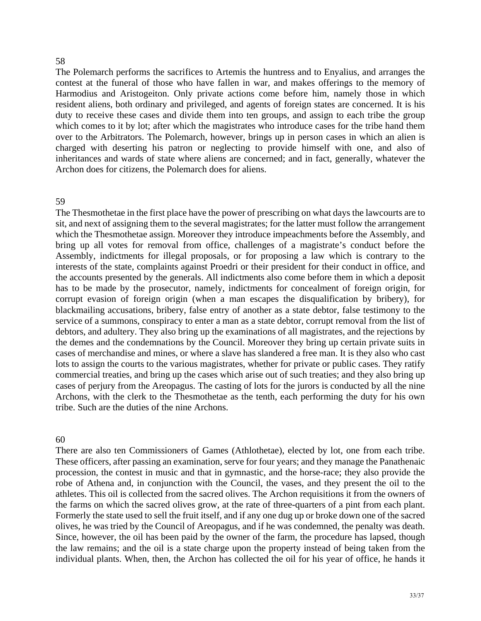### 58

The Polemarch performs the sacrifices to Artemis the huntress and to Enyalius, and arranges the contest at the funeral of those who have fallen in war, and makes offerings to the memory of Harmodius and Aristogeiton. Only private actions come before him, namely those in which resident aliens, both ordinary and privileged, and agents of foreign states are concerned. It is his duty to receive these cases and divide them into ten groups, and assign to each tribe the group which comes to it by lot; after which the magistrates who introduce cases for the tribe hand them over to the Arbitrators. The Polemarch, however, brings up in person cases in which an alien is charged with deserting his patron or neglecting to provide himself with one, and also of inheritances and wards of state where aliens are concerned; and in fact, generally, whatever the Archon does for citizens, the Polemarch does for aliens.

### 59

The Thesmothetae in the first place have the power of prescribing on what days the lawcourts are to sit, and next of assigning them to the several magistrates; for the latter must follow the arrangement which the Thesmothetae assign. Moreover they introduce impeachments before the Assembly, and bring up all votes for removal from office, challenges of a magistrate's conduct before the Assembly, indictments for illegal proposals, or for proposing a law which is contrary to the interests of the state, complaints against Proedri or their president for their conduct in office, and the accounts presented by the generals. All indictments also come before them in which a deposit has to be made by the prosecutor, namely, indictments for concealment of foreign origin, for corrupt evasion of foreign origin (when a man escapes the disqualification by bribery), for blackmailing accusations, bribery, false entry of another as a state debtor, false testimony to the service of a summons, conspiracy to enter a man as a state debtor, corrupt removal from the list of debtors, and adultery. They also bring up the examinations of all magistrates, and the rejections by the demes and the condemnations by the Council. Moreover they bring up certain private suits in cases of merchandise and mines, or where a slave has slandered a free man. It is they also who cast lots to assign the courts to the various magistrates, whether for private or public cases. They ratify commercial treaties, and bring up the cases which arise out of such treaties; and they also bring up cases of perjury from the Areopagus. The casting of lots for the jurors is conducted by all the nine Archons, with the clerk to the Thesmothetae as the tenth, each performing the duty for his own tribe. Such are the duties of the nine Archons.

### 0 6

There are also ten Commissioners of Games (Athlothetae), elected by lot, one from each tribe. These officers, after passing an examination, serve for four years; and they manage the Panathenaic procession, the contest in music and that in gymnastic, and the horse-race; they also provide the robe of Athena and, in conjunction with the Council, the vases, and they present the oil to the athletes. This oil is collected from the sacred olives. The Archon requisitions it from the owners of the farms on which the sacred olives grow, at the rate of three-quarters of a pint from each plant. Formerly the state used to sell the fruit itself, and if any one dug up or broke down one of the sacred olives, he was tried by the Council of Areopagus, and if he was condemned, the penalty was death. Since, however, the oil has been paid by the owner of the farm, the procedure has lapsed, though the law remains; and the oil is a state charge upon the property instead of being taken from the individual plants. When, then, the Archon has collected the oil for his year of office, he hands it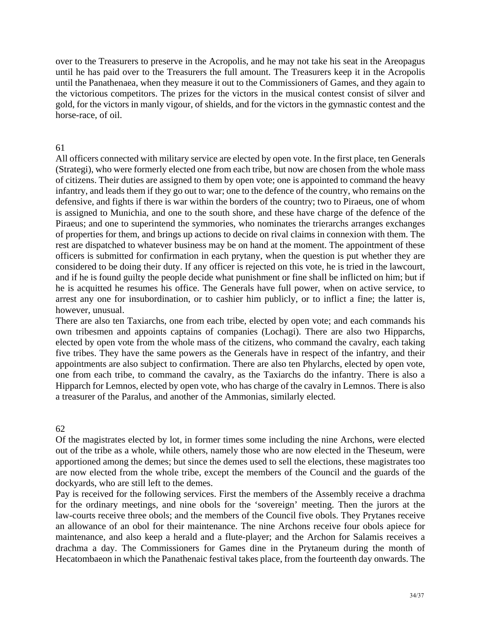over to the Treasurers to preserve in the Acropolis, and he may not take his seat in the Areopagus until he has paid over to the Treasurers the full amount. The Treasurers keep it in the Acropolis until the Panathenaea, when they measure it out to the Commissioners of Games, and they again to the victorious competitors. The prizes for the victors in the musical contest consist of silver and gold, for the victors in manly vigour, of shields, and for the victors in the gymnastic contest and the horse-race, of oil.

# 61

All officers connected with military service are elected by open vote. In the first place, ten Generals (Strategi), who were formerly elected one from each tribe, but now are chosen from the whole mass of citizens. Their duties are assigned to them by open vote; one is appointed to command the heavy infantry, and leads them if they go out to war; one to the defence of the country, who remains on the defensive, and fights if there is war within the borders of the country; two to Piraeus, one of whom is assigned to Munichia, and one to the south shore, and these have charge of the defence of the Piraeus; and one to superintend the symmories, who nominates the trierarchs arranges exchanges of properties for them, and brings up actions to decide on rival claims in connexion with them. The rest are dispatched to whatever business may be on hand at the moment. The appointment of these officers is submitted for confirmation in each prytany, when the question is put whether they are considered to be doing their duty. If any officer is rejected on this vote, he is tried in the lawcourt, and if he is found guilty the people decide what punishment or fine shall be inflicted on him; but if he is acquitted he resumes his office. The Generals have full power, when on active service, to arrest any one for insubordination, or to cashier him publicly, or to inflict a fine; the latter is, however, unusual.

one from each tribe, to command the cavalry, as the Taxiarchs do the infantry. There is also a Hipparch for Lemnos, elected by open vote, who has charge of the cavalry in Lemnos. There is also a treasurer of the Paralus, and another of the Ammonias, similarly elected. There are also ten Taxiarchs, one from each tribe, elected by open vote; and each commands his own tribesmen and appoints captains of companies (Lochagi). There are also two Hipparchs, elected by open vote from the whole mass of the citizens, who command the cavalry, each taking five tribes. They have the same powers as the Generals have in respect of the infantry, and their appointments are also subject to confirmation. There are also ten Phylarchs, elected by open vote,

# 62

Of the magistrates elected by lot, in former times some including the nine Archons, were elected out of the tribe as a whole, while others, namely those who are now elected in the Theseum, were apportioned among the demes; but since the demes used to sell the elections, these magistrates too are now elected from the whole tribe, except the members of the Council and the guards of the dockyards, who are still left to the demes.

Hecatombaeon in which the Panathenaic festival takes place, from the fourteenth day onwards. The Pay is received for the following services. First the members of the Assembly receive a drachma for the ordinary meetings, and nine obols for the 'sovereign' meeting. Then the jurors at the law-courts receive three obols; and the members of the Council five obols. They Prytanes receive an allowance of an obol for their maintenance. The nine Archons receive four obols apiece for maintenance, and also keep a herald and a flute-player; and the Archon for Salamis receives a drachma a day. The Commissioners for Games dine in the Prytaneum during the month of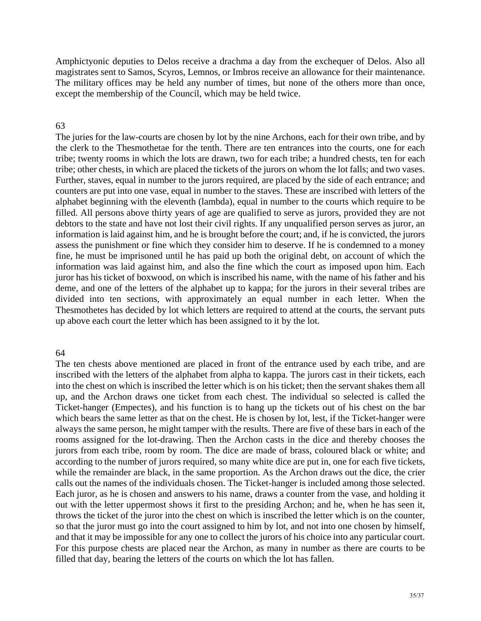Amphictyonic deputies to Delos receive a drachma a day from the exchequer of Delos. Also all magistrates sent to Samos, Scyros, Lemnos, or Imbros receive an allowance for their maintenance. The military offices may be held any number of times, but none of the others more than once, except the membership of the Council, which may be held twice.

## 63

tribe; twenty rooms in which the lots are drawn, two for each tribe; a hundred chests, ten for each tribe; other chests, in which are placed the tickets of the jurors on whom the lot falls; and two vases. Further, staves, equal in number to the jurors required, are placed by the side of each entrance; and counters are put into one vase, equal in number to the staves. These are inscribed with letters of the assess the punishment or fine which they consider him to deserve. If he is condemned to a money The juries for the law-courts are chosen by lot by the nine Archons, each for their own tribe, and by the clerk to the Thesmothetae for the tenth. There are ten entrances into the courts, one for each alphabet beginning with the eleventh (lambda), equal in number to the courts which require to be filled. All persons above thirty years of age are qualified to serve as jurors, provided they are not debtors to the state and have not lost their civil rights. If any unqualified person serves as juror, an information is laid against him, and he is brought before the court; and, if he is convicted, the jurors fine, he must be imprisoned until he has paid up both the original debt, on account of which the information was laid against him, and also the fine which the court as imposed upon him. Each juror has his ticket of boxwood, on which is inscribed his name, with the name of his father and his deme, and one of the letters of the alphabet up to kappa; for the jurors in their several tribes are divided into ten sections, with approximately an equal number in each letter. When the Thesmothetes has decided by lot which letters are required to attend at the courts, the servant puts up above each court the letter which has been assigned to it by the lot.

## 64

The ten chests above mentioned are placed in front of the entrance used by each tribe, and are inscribed with the letters of the alphabet from alpha to kappa. The jurors cast in their tickets, each into the chest on which is inscribed the letter which is on his ticket; then the servant shakes them all and the Archon draws one ticket from each chest. The individual so selected is called the up, Ticket-hanger (Empectes), and his function is to hang up the tickets out of his chest on the bar which bears the same letter as that on the chest. He is chosen by lot, lest, if the Ticket-hanger were always the same person, he might tamper with the results. There are five of these bars in each of the rooms assigned for the lot-drawing. Then the Archon casts in the dice and thereby chooses the jurors from each tribe, room by room. The dice are made of brass, coloured black or white; and according to the number of jurors required, so many white dice are put in, one for each five tickets, while the remainder are black, in the same proportion. As the Archon draws out the dice, the crier calls out the names of the individuals chosen. The Ticket-hanger is included among those selected. Each juror, as he is chosen and answers to his name, draws a counter from the vase, and holding it out with the letter uppermost shows it first to the presiding Archon; and he, when he has seen it, throws the ticket of the juror into the chest on which is inscribed the letter which is on the counter, so that the juror must go into the court assigned to him by lot, and not into one chosen by himself, and that it may be impossible for any one to collect the jurors of his choice into any particular court. For this purpose chests are placed near the Archon, as many in number as there are courts to be filled that day, bearing the letters of the courts on which the lot has fallen.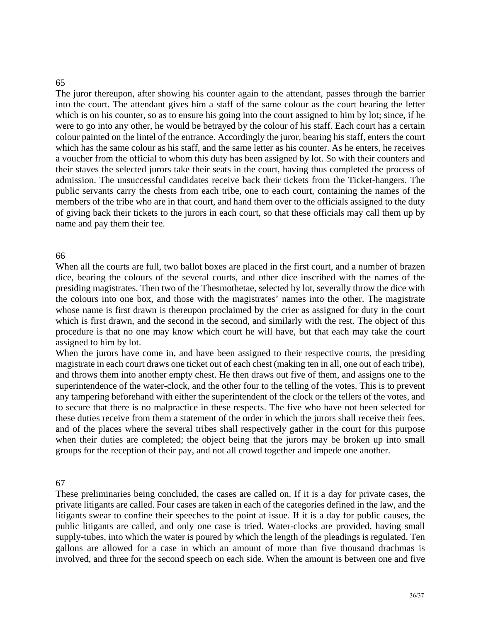### 65

The juror thereupon, after showing his counter again to the attendant, passes through the barrier into the court. The attendant gives him a staff of the same colour as the court bearing the letter which is on his counter, so as to ensure his going into the court assigned to him by lot; since, if he were to go into any other, he would be betrayed by the colour of his staff. Each court has a certain colour painted on the lintel of the entrance. Accordingly the juror, bearing his staff, enters the court which has the same colour as his staff, and the same letter as his counter. As he enters, he receives a voucher from the official to whom this duty has been assigned by lot. So with their counters and their staves the selected jurors take their seats in the court, having thus completed the process of admission. The unsuccessful candidates receive back their tickets from the Ticket-hangers. The public servants carry the chests from each tribe, one to each court, containing the names of the members of the tribe who are in that court, and hand them over to the officials assigned to the duty of giving back their tickets to the jurors in each court, so that these officials may call them up by name and pay them their fee.

### 66

procedure is that no one may know which court he will have, but that each may take the court assigned to him by lot. When all the courts are full, two ballot boxes are placed in the first court, and a number of brazen dice, bearing the colours of the several courts, and other dice inscribed with the names of the presiding magistrates. Then two of the Thesmothetae, selected by lot, severally throw the dice with the colours into one box, and those with the magistrates' names into the other. The magistrate whose name is first drawn is thereupon proclaimed by the crier as assigned for duty in the court which is first drawn, and the second in the second, and similarly with the rest. The object of this

When the jurors have come in, and have been assigned to their respective courts, the presiding magistrate in each court draws one ticket out of each chest (making ten in all, one out of each tribe), and throws them into another empty chest. He then draws out five of them, and assigns one to the superintendence of the water-clock, and the other four to the telling of the votes. This is to prevent any tampering beforehand with either the superintendent of the clock or the tellers of the votes, and to secure that there is no malpractice in these respects. The five who have not been selected for these duties receive from them a statement of the order in which the jurors shall receive their fees, and of the places where the several tribes shall respectively gather in the court for this purpose when their duties are completed; the object being that the jurors may be broken up into small groups for the reception of their pay, and not all crowd together and impede one another.

### 67

private litigants are called. Four cases are taken in each of the categories defined in the law, and the litigants swear to confine their speeches to the point at issue. If it is a day for public causes, the public litigants are called, and only one case is tried. Water-clocks are provided, having small supply-tubes, into which the water is poured by which the length of the pleadings is regulated. Ten These preliminaries being concluded, the cases are called on. If it is a day for private cases, the gallons are allowed for a case in which an amount of more than five thousand drachmas is involved, and three for the second speech on each side. When the amount is between one and five